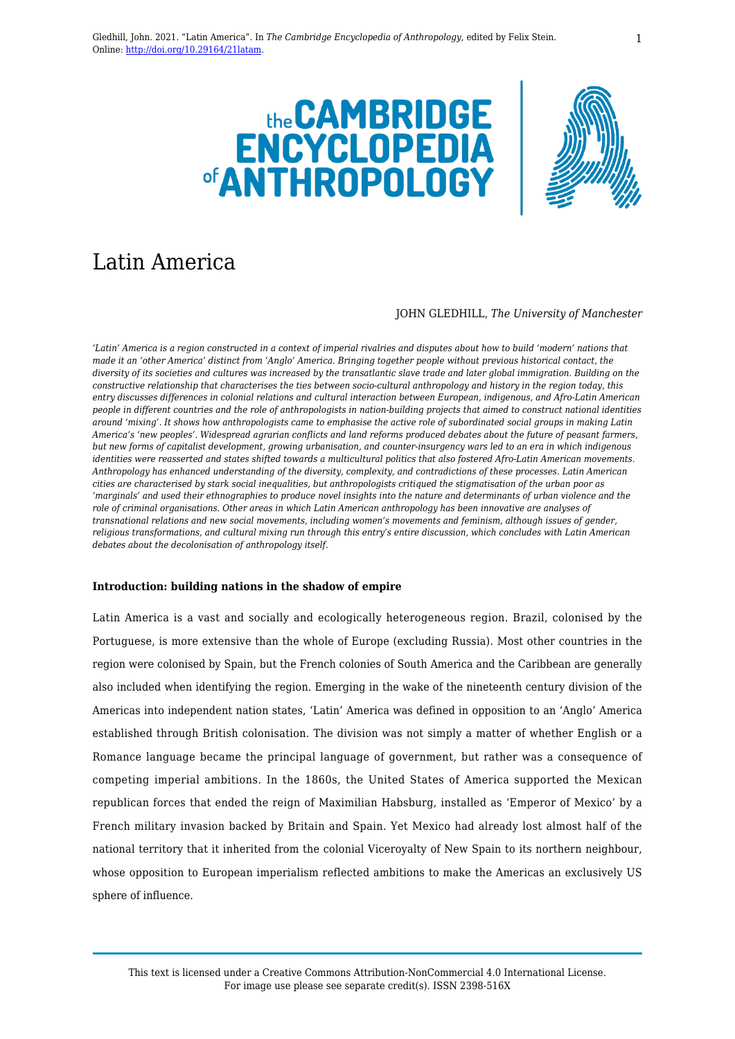



# Latin America

### JOHN GLEDHILL, *The University of Manchester*

*'Latin' America is a region constructed in a context of imperial rivalries and disputes about how to build 'modern' nations that made it an 'other America' distinct from 'Anglo' America. Bringing together people without previous historical contact, the diversity of its societies and cultures was increased by the transatlantic slave trade and later global immigration. Building on the constructive relationship that characterises the ties between socio-cultural anthropology and history in the region today, this entry discusses differences in colonial relations and cultural interaction between European, indigenous, and Afro-Latin American people in different countries and the role of anthropologists in nation-building projects that aimed to construct national identities around 'mixing'*. *It shows how anthropologists came to emphasise the active role of subordinated social groups in making Latin America's 'new peoples'. Widespread agrarian conflicts and land reforms produced debates about the future of peasant farmers, but new forms of capitalist development, growing urbanisation, and counter-insurgency wars led to an era in which indigenous identities were reasserted and states shifted towards a multicultural politics that also fostered Afro-Latin American movements. Anthropology has enhanced understanding of the diversity, complexity, and contradictions of these processes. Latin American cities are characterised by stark social inequalities, but anthropologists critiqued the stigmatisation of the urban poor as 'marginals' and used their ethnographies to produce novel insights into the nature and determinants of urban violence and the role of criminal organisations. Other areas in which Latin American anthropology has been innovative are analyses of transnational relations and new social movements, including women's movements and feminism, although issues of gender, religious transformations, and cultural mixing run through this entry's entire discussion, which concludes with Latin American debates about the decolonisation of anthropology itself.*

# **Introduction: building nations in the shadow of empire**

Latin America is a vast and socially and ecologically heterogeneous region. Brazil, colonised by the Portuguese, is more extensive than the whole of Europe (excluding Russia). Most other countries in the region were colonised by Spain, but the French colonies of South America and the Caribbean are generally also included when identifying the region. Emerging in the wake of the nineteenth century division of the Americas into independent nation states, 'Latin' America was defined in opposition to an 'Anglo' America established through British colonisation. The division was not simply a matter of whether English or a Romance language became the principal language of government, but rather was a consequence of competing imperial ambitions. In the 1860s, the United States of America supported the Mexican republican forces that ended the reign of Maximilian Habsburg, installed as 'Emperor of Mexico' by a French military invasion backed by Britain and Spain. Yet Mexico had already lost almost half of the national territory that it inherited from the colonial Viceroyalty of New Spain to its northern neighbour, whose opposition to European imperialism reflected ambitions to make the Americas an exclusively US sphere of influence.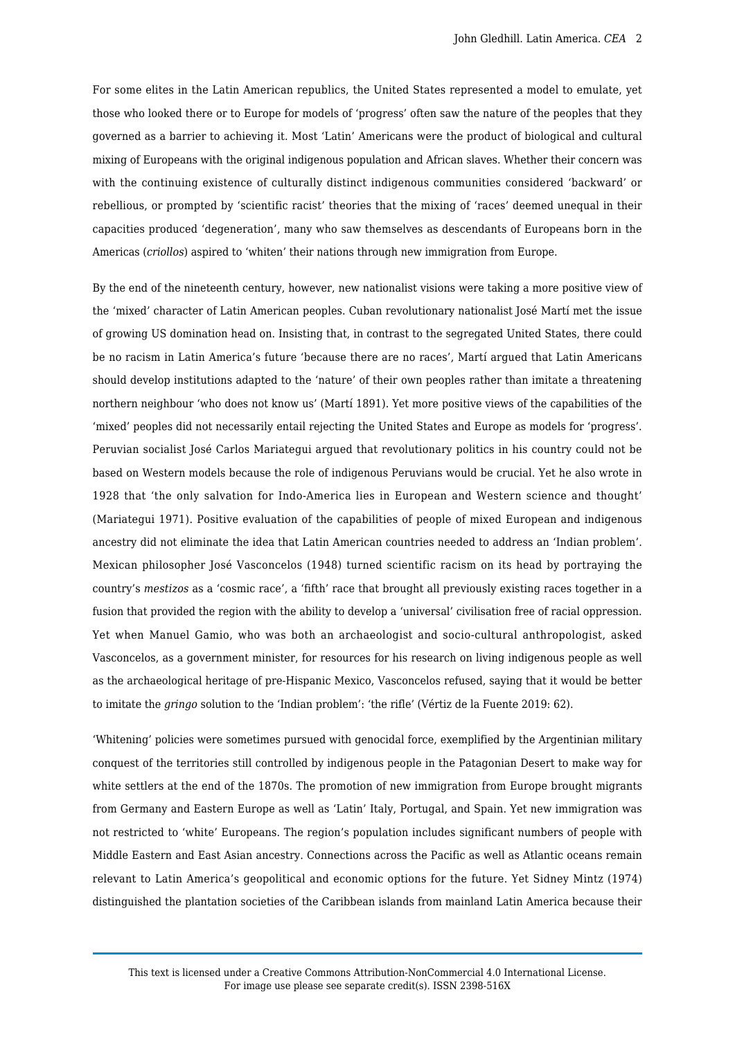For some elites in the Latin American republics, the United States represented a model to emulate, yet those who looked there or to Europe for models of 'progress' often saw the nature of the peoples that they governed as a barrier to achieving it. Most 'Latin' Americans were the product of biological and cultural mixing of Europeans with the original indigenous population and African slaves. Whether their concern was with the continuing existence of culturally distinct indigenous communities considered 'backward' or rebellious, or prompted by 'scientific racist' theories that the mixing of 'races' deemed unequal in their capacities produced 'degeneration', many who saw themselves as descendants of Europeans born in the Americas (*criollos*) aspired to 'whiten' their nations through new immigration from Europe.

By the end of the nineteenth century, however, new nationalist visions were taking a more positive view of the 'mixed' character of Latin American peoples. Cuban revolutionary nationalist José Martí met the issue of growing US domination head on. Insisting that, in contrast to the segregated United States, there could be no racism in Latin America's future 'because there are no races', Martí argued that Latin Americans should develop institutions adapted to the 'nature' of their own peoples rather than imitate a threatening northern neighbour 'who does not know us' (Martí 1891). Yet more positive views of the capabilities of the 'mixed' peoples did not necessarily entail rejecting the United States and Europe as models for 'progress'. Peruvian socialist José Carlos Mariategui argued that revolutionary politics in his country could not be based on Western models because the role of indigenous Peruvians would be crucial. Yet he also wrote in 1928 that 'the only salvation for Indo-America lies in European and Western science and thought' (Mariategui 1971). Positive evaluation of the capabilities of people of mixed European and indigenous ancestry did not eliminate the idea that Latin American countries needed to address an 'Indian problem'. Mexican philosopher José Vasconcelos (1948) turned scientific racism on its head by portraying the country's *mestizos* as a 'cosmic race', a 'fifth' race that brought all previously existing races together in a fusion that provided the region with the ability to develop a 'universal' civilisation free of racial oppression. Yet when Manuel Gamio, who was both an archaeologist and socio-cultural anthropologist, asked Vasconcelos, as a government minister, for resources for his research on living indigenous people as well as the archaeological heritage of pre-Hispanic Mexico, Vasconcelos refused, saying that it would be better to imitate the *gringo* solution to the 'Indian problem': 'the rifle' (Vértiz de la Fuente 2019: 62).

'Whitening' policies were sometimes pursued with genocidal force, exemplified by the Argentinian military conquest of the territories still controlled by indigenous people in the Patagonian Desert to make way for white settlers at the end of the 1870s. The promotion of new immigration from Europe brought migrants from Germany and Eastern Europe as well as 'Latin' Italy, Portugal, and Spain. Yet new immigration was not restricted to 'white' Europeans. The region's population includes significant numbers of people with Middle Eastern and East Asian ancestry. Connections across the Pacific as well as Atlantic oceans remain relevant to Latin America's geopolitical and economic options for the future. Yet Sidney Mintz (1974) distinguished the plantation societies of the Caribbean islands from mainland Latin America because their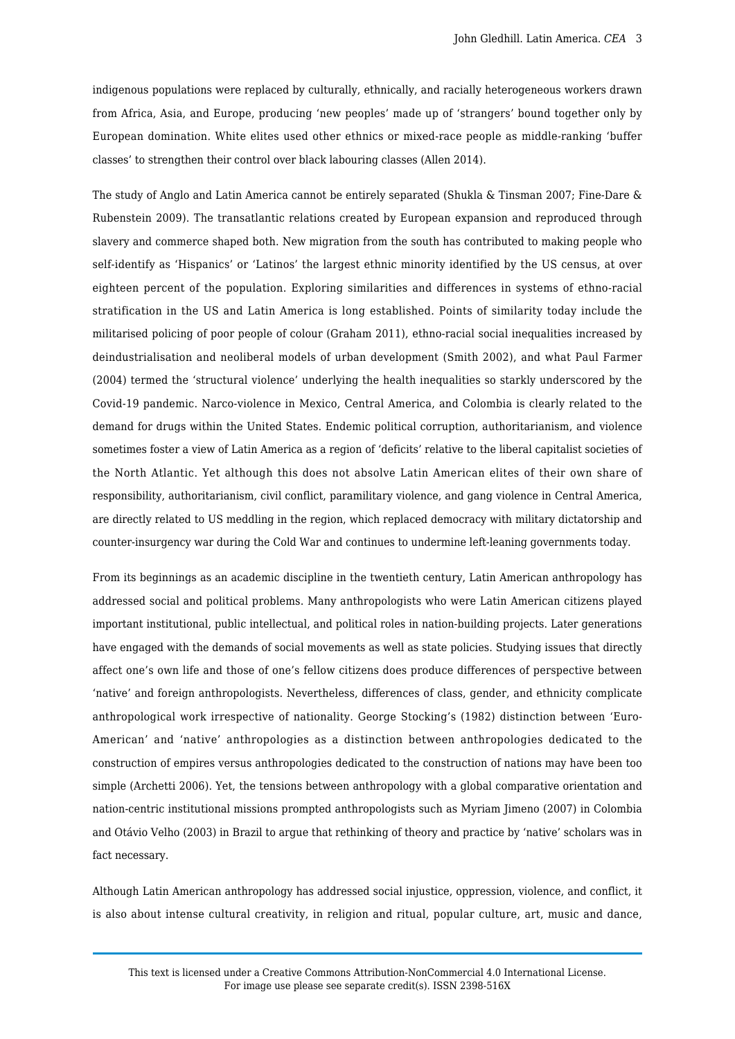indigenous populations were replaced by culturally, ethnically, and racially heterogeneous workers drawn from Africa, Asia, and Europe, producing 'new peoples' made up of 'strangers' bound together only by European domination. White elites used other ethnics or mixed-race people as middle-ranking 'buffer classes' to strengthen their control over black labouring classes (Allen 2014).

The study of Anglo and Latin America cannot be entirely separated (Shukla & Tinsman 2007; Fine-Dare & Rubenstein 2009). The transatlantic relations created by European expansion and reproduced through slavery and commerce shaped both. New migration from the south has contributed to making people who self-identify as 'Hispanics' or 'Latinos' the largest ethnic minority identified by the US census, at over eighteen percent of the population. Exploring similarities and differences in systems of ethno-racial stratification in the US and Latin America is long established. Points of similarity today include the militarised policing of poor people of colour (Graham 2011), ethno-racial social inequalities increased by deindustrialisation and neoliberal models of urban development (Smith 2002), and what Paul Farmer (2004) termed the 'structural violence' underlying the health inequalities so starkly underscored by the Covid-19 pandemic. Narco-violence in Mexico, Central America, and Colombia is clearly related to the demand for drugs within the United States. Endemic political corruption, authoritarianism, and violence sometimes foster a view of Latin America as a region of 'deficits' relative to the liberal capitalist societies of the North Atlantic. Yet although this does not absolve Latin American elites of their own share of responsibility, authoritarianism, civil conflict, paramilitary violence, and gang violence in Central America, are directly related to US meddling in the region, which replaced democracy with military dictatorship and counter-insurgency war during the Cold War and continues to undermine left-leaning governments today.

From its beginnings as an academic discipline in the twentieth century, Latin American anthropology has addressed social and political problems. Many anthropologists who were Latin American citizens played important institutional, public intellectual, and political roles in nation-building projects. Later generations have engaged with the demands of social movements as well as state policies. Studying issues that directly affect one's own life and those of one's fellow citizens does produce differences of perspective between 'native' and foreign anthropologists. Nevertheless, differences of class, gender, and ethnicity complicate anthropological work irrespective of nationality. George Stocking's (1982) distinction between 'Euro-American' and 'native' anthropologies as a distinction between anthropologies dedicated to the construction of empires versus anthropologies dedicated to the construction of nations may have been too simple (Archetti 2006). Yet, the tensions between anthropology with a global comparative orientation and nation-centric institutional missions prompted anthropologists such as Myriam Jimeno (2007) in Colombia and Otávio Velho (2003) in Brazil to argue that rethinking of theory and practice by 'native' scholars was in fact necessary.

Although Latin American anthropology has addressed social injustice, oppression, violence, and conflict, it is also about intense cultural creativity, in religion and ritual, popular culture, art, music and dance,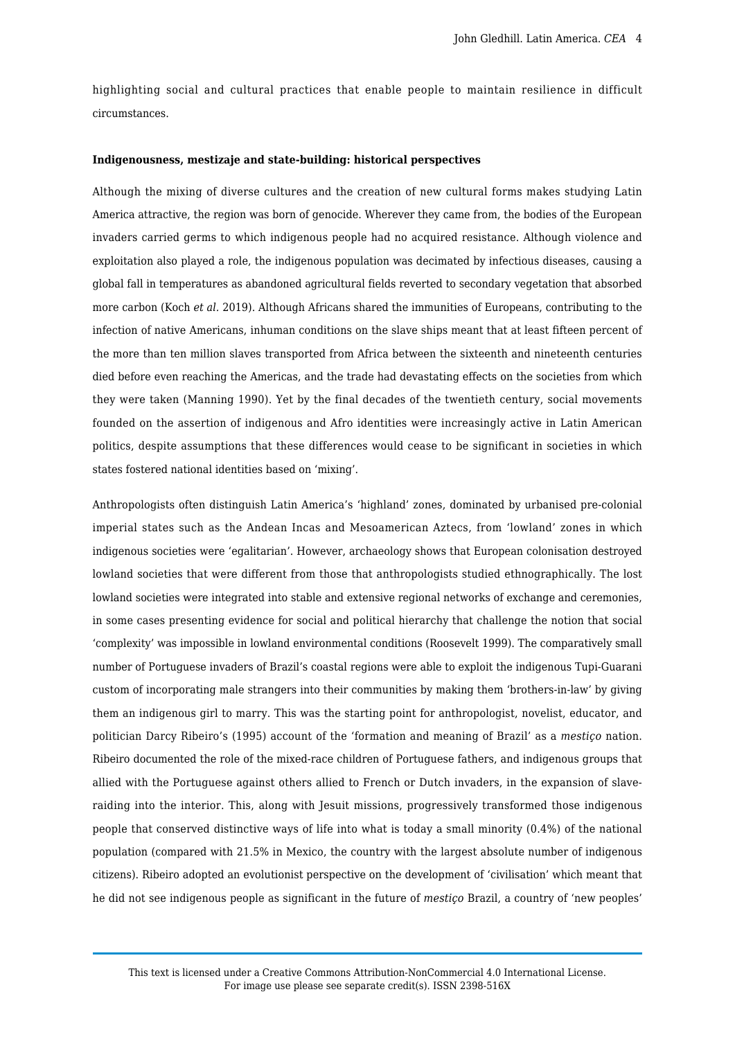highlighting social and cultural practices that enable people to maintain resilience in difficult circumstances.

#### **Indigenousness, mestizaje and state-building: historical perspectives**

Although the mixing of diverse cultures and the creation of new cultural forms makes studying Latin America attractive, the region was born of genocide. Wherever they came from, the bodies of the European invaders carried germs to which indigenous people had no acquired resistance. Although violence and exploitation also played a role, the indigenous population was decimated by infectious diseases, causing a global fall in temperatures as abandoned agricultural fields reverted to secondary vegetation that absorbed more carbon (Koch *et al.* 2019). Although Africans shared the immunities of Europeans, contributing to the infection of native Americans, inhuman conditions on the slave ships meant that at least fifteen percent of the more than ten million slaves transported from Africa between the sixteenth and nineteenth centuries died before even reaching the Americas, and the trade had devastating effects on the societies from which they were taken (Manning 1990). Yet by the final decades of the twentieth century, social movements founded on the assertion of indigenous and Afro identities were increasingly active in Latin American politics, despite assumptions that these differences would cease to be significant in societies in which states fostered national identities based on 'mixing'.

Anthropologists often distinguish Latin America's 'highland' zones, dominated by urbanised pre-colonial imperial states such as the Andean Incas and Mesoamerican Aztecs, from 'lowland' zones in which indigenous societies were 'egalitarian'. However, archaeology shows that European colonisation destroyed lowland societies that were different from those that anthropologists studied ethnographically. The lost lowland societies were integrated into stable and extensive regional networks of exchange and ceremonies, in some cases presenting evidence for social and political hierarchy that challenge the notion that social 'complexity' was impossible in lowland environmental conditions (Roosevelt 1999). The comparatively small number of Portuguese invaders of Brazil's coastal regions were able to exploit the indigenous Tupi-Guarani custom of incorporating male strangers into their communities by making them 'brothers-in-law' by giving them an indigenous girl to marry. This was the starting point for anthropologist, novelist, educator, and politician Darcy Ribeiro's (1995) account of the 'formation and meaning of Brazil' as a *mestiço* nation. Ribeiro documented the role of the mixed-race children of Portuguese fathers, and indigenous groups that allied with the Portuguese against others allied to French or Dutch invaders, in the expansion of slaveraiding into the interior. This, along with Jesuit missions, progressively transformed those indigenous people that conserved distinctive ways of life into what is today a small minority (0.4%) of the national population (compared with 21.5% in Mexico, the country with the largest absolute number of indigenous citizens). Ribeiro adopted an evolutionist perspective on the development of 'civilisation' which meant that he did not see indigenous people as significant in the future of *mestiço* Brazil, a country of 'new peoples'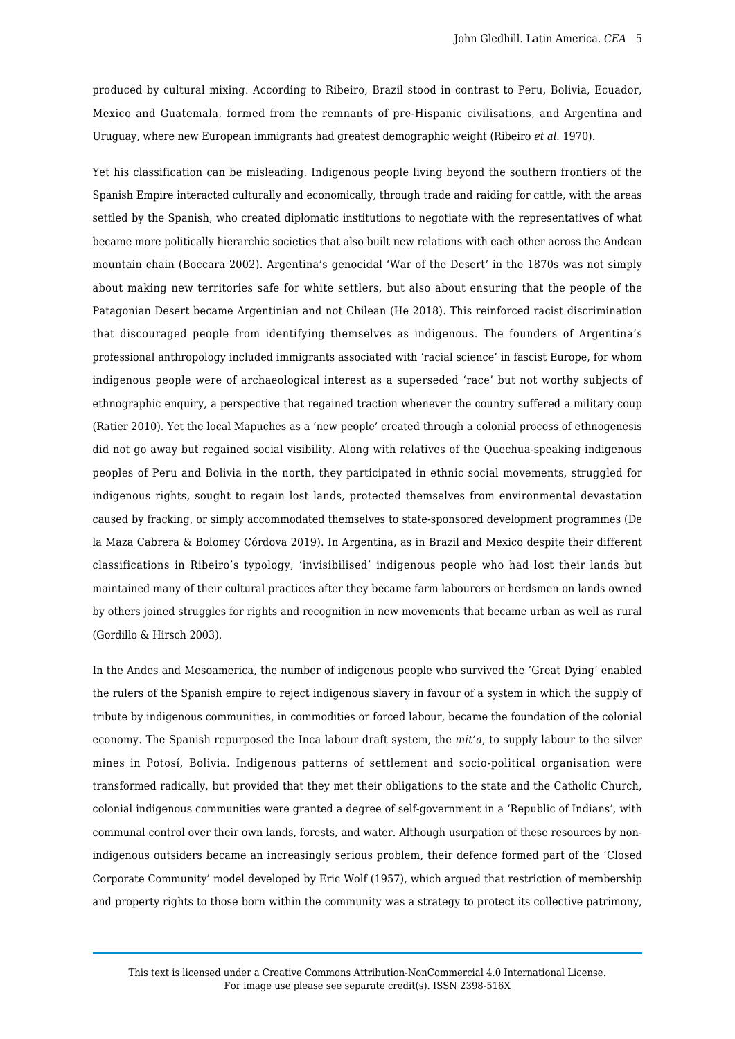produced by cultural mixing. According to Ribeiro, Brazil stood in contrast to Peru, Bolivia, Ecuador, Mexico and Guatemala, formed from the remnants of pre-Hispanic civilisations, and Argentina and Uruguay, where new European immigrants had greatest demographic weight (Ribeiro *et al.* 1970).

Yet his classification can be misleading. Indigenous people living beyond the southern frontiers of the Spanish Empire interacted culturally and economically, through trade and raiding for cattle, with the areas settled by the Spanish, who created diplomatic institutions to negotiate with the representatives of what became more politically hierarchic societies that also built new relations with each other across the Andean mountain chain (Boccara 2002). Argentina's genocidal 'War of the Desert' in the 1870s was not simply about making new territories safe for white settlers, but also about ensuring that the people of the Patagonian Desert became Argentinian and not Chilean (He 2018). This reinforced racist discrimination that discouraged people from identifying themselves as indigenous. The founders of Argentina's professional anthropology included immigrants associated with 'racial science' in fascist Europe, for whom indigenous people were of archaeological interest as a superseded 'race' but not worthy subjects of ethnographic enquiry, a perspective that regained traction whenever the country suffered a military coup (Ratier 2010). Yet the local Mapuches as a 'new people' created through a colonial process of ethnogenesis did not go away but regained social visibility. Along with relatives of the Quechua-speaking indigenous peoples of Peru and Bolivia in the north, they participated in ethnic social movements, struggled for indigenous rights, sought to regain lost lands, protected themselves from environmental devastation caused by fracking, or simply accommodated themselves to state-sponsored development programmes (De la Maza Cabrera & Bolomey Córdova 2019). In Argentina, as in Brazil and Mexico despite their different classifications in Ribeiro's typology, 'invisibilised' indigenous people who had lost their lands but maintained many of their cultural practices after they became farm labourers or herdsmen on lands owned by others joined struggles for rights and recognition in new movements that became urban as well as rural (Gordillo & Hirsch 2003).

In the Andes and Mesoamerica, the number of indigenous people who survived the 'Great Dying' enabled the rulers of the Spanish empire to reject indigenous slavery in favour of a system in which the supply of tribute by indigenous communities, in commodities or forced labour, became the foundation of the colonial economy. The Spanish repurposed the Inca labour draft system, the *mit'a*, to supply labour to the silver mines in Potosí, Bolivia. Indigenous patterns of settlement and socio-political organisation were transformed radically, but provided that they met their obligations to the state and the Catholic Church, colonial indigenous communities were granted a degree of self-government in a 'Republic of Indians', with communal control over their own lands, forests, and water. Although usurpation of these resources by nonindigenous outsiders became an increasingly serious problem, their defence formed part of the 'Closed Corporate Community' model developed by Eric Wolf (1957), which argued that restriction of membership and property rights to those born within the community was a strategy to protect its collective patrimony,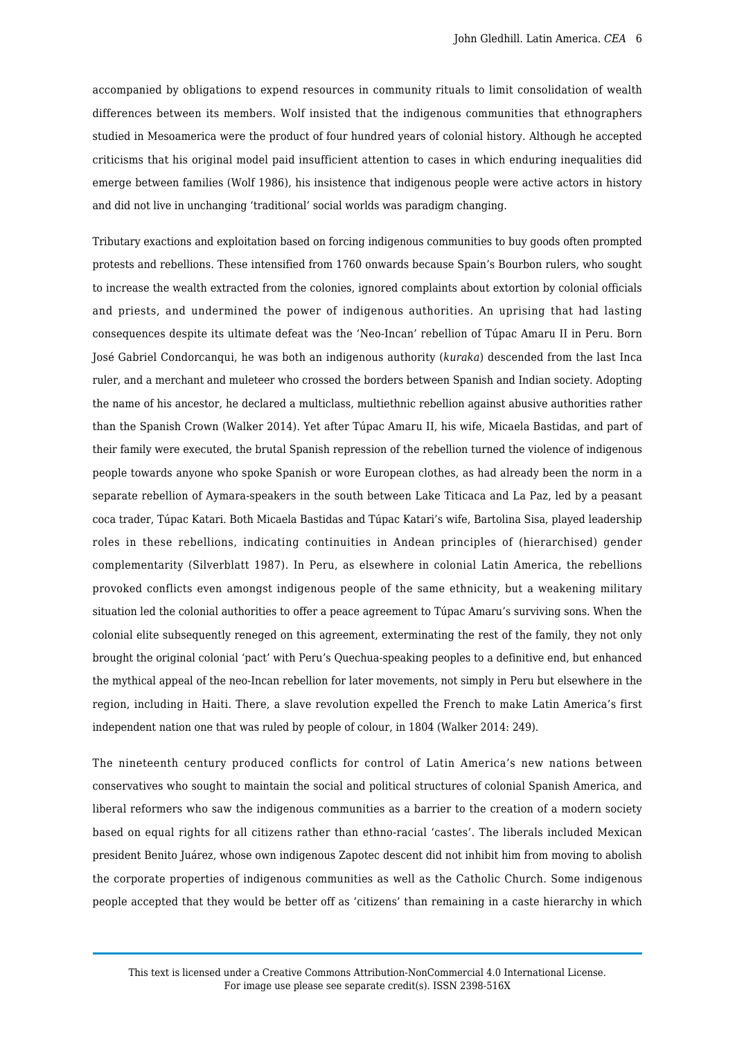accompanied by obligations to expend resources in community rituals to limit consolidation of wealth differences between its members. Wolf insisted that the indigenous communities that ethnographers studied in Mesoamerica were the product of four hundred years of colonial history. Although he accepted criticisms that his original model paid insufficient attention to cases in which enduring inequalities did emerge between families (Wolf 1986), his insistence that indigenous people were active actors in history and did not live in unchanging 'traditional' social worlds was paradigm changing.

Tributary exactions and exploitation based on forcing indigenous communities to buy goods often prompted protests and rebellions. These intensified from 1760 onwards because Spain's Bourbon rulers, who sought to increase the wealth extracted from the colonies, ignored complaints about extortion by colonial officials and priests, and undermined the power of indigenous authorities. An uprising that had lasting consequences despite its ultimate defeat was the 'Neo-Incan' rebellion of Túpac Amaru II in Peru. Born José Gabriel Condorcanqui, he was both an indigenous authority (*kuraka*) descended from the last Inca ruler, and a merchant and muleteer who crossed the borders between Spanish and Indian society. Adopting the name of his ancestor, he declared a multiclass, multiethnic rebellion against abusive authorities rather than the Spanish Crown (Walker 2014). Yet after Túpac Amaru II, his wife, Micaela Bastidas, and part of their family were executed, the brutal Spanish repression of the rebellion turned the violence of indigenous people towards anyone who spoke Spanish or wore European clothes, as had already been the norm in a separate rebellion of Aymara-speakers in the south between Lake Titicaca and La Paz, led by a peasant coca trader, Túpac Katari. Both Micaela Bastidas and Túpac Katari's wife, Bartolina Sisa, played leadership roles in these rebellions, indicating continuities in Andean principles of (hierarchised) gender complementarity (Silverblatt 1987). In Peru, as elsewhere in colonial Latin America, the rebellions provoked conflicts even amongst indigenous people of the same ethnicity, but a weakening military situation led the colonial authorities to offer a peace agreement to Túpac Amaru's surviving sons. When the colonial elite subsequently reneged on this agreement, exterminating the rest of the family, they not only brought the original colonial 'pact' with Peru's Quechua-speaking peoples to a definitive end, but enhanced the mythical appeal of the neo-Incan rebellion for later movements, not simply in Peru but elsewhere in the region, including in Haiti. There, a slave revolution expelled the French to make Latin America's first independent nation one that was ruled by people of colour, in 1804 (Walker 2014: 249).

The nineteenth century produced conflicts for control of Latin America's new nations between conservatives who sought to maintain the social and political structures of colonial Spanish America, and liberal reformers who saw the indigenous communities as a barrier to the creation of a modern society based on equal rights for all citizens rather than ethno-racial 'castes'. The liberals included Mexican president Benito Juárez, whose own indigenous Zapotec descent did not inhibit him from moving to abolish the corporate properties of indigenous communities as well as the Catholic Church. Some indigenous people accepted that they would be better off as 'citizens' than remaining in a caste hierarchy in which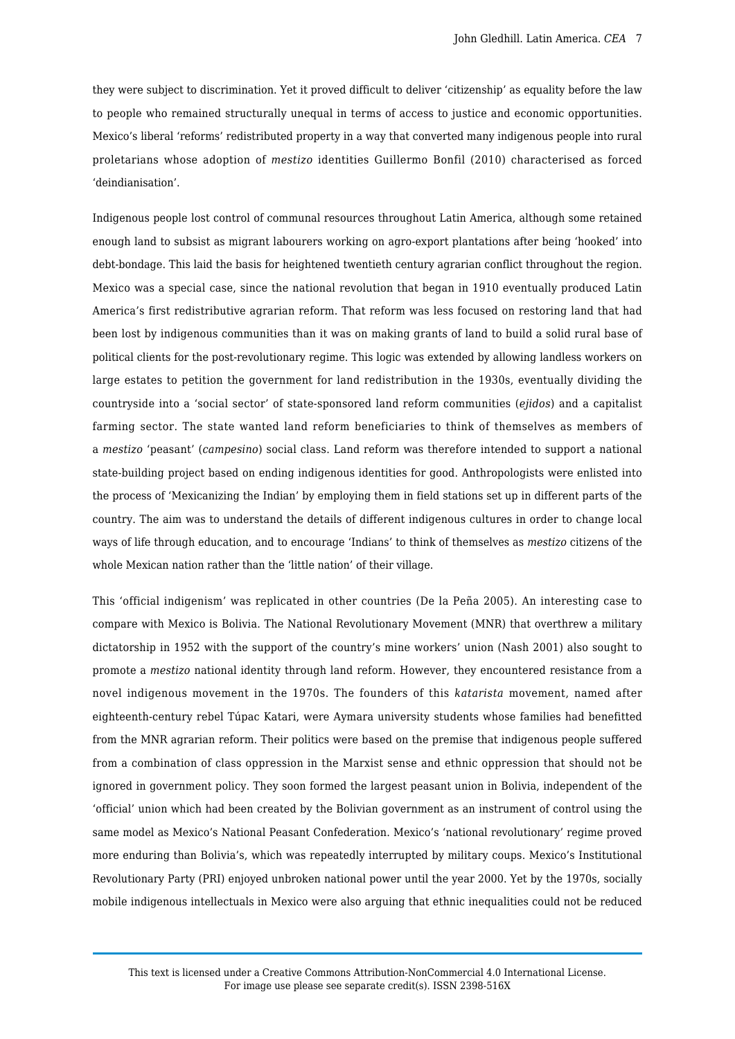they were subject to discrimination. Yet it proved difficult to deliver 'citizenship' as equality before the law to people who remained structurally unequal in terms of access to justice and economic opportunities. Mexico's liberal 'reforms' redistributed property in a way that converted many indigenous people into rural proletarians whose adoption of *mestizo* identities Guillermo Bonfil (2010) characterised as forced 'deindianisation'.

Indigenous people lost control of communal resources throughout Latin America, although some retained enough land to subsist as migrant labourers working on agro-export plantations after being 'hooked' into debt-bondage. This laid the basis for heightened twentieth century agrarian conflict throughout the region. Mexico was a special case, since the national revolution that began in 1910 eventually produced Latin America's first redistributive agrarian reform. That reform was less focused on restoring land that had been lost by indigenous communities than it was on making grants of land to build a solid rural base of political clients for the post-revolutionary regime. This logic was extended by allowing landless workers on large estates to petition the government for land redistribution in the 1930s, eventually dividing the countryside into a 'social sector' of state-sponsored land reform communities (*ejidos*) and a capitalist farming sector. The state wanted land reform beneficiaries to think of themselves as members of a *mestizo* 'peasant' (*campesino*) social class. Land reform was therefore intended to support a national state-building project based on ending indigenous identities for good. Anthropologists were enlisted into the process of 'Mexicanizing the Indian' by employing them in field stations set up in different parts of the country. The aim was to understand the details of different indigenous cultures in order to change local ways of life through education, and to encourage 'Indians' to think of themselves as *mestizo* citizens of the whole Mexican nation rather than the 'little nation' of their village.

This 'official indigenism' was replicated in other countries (De la Peña 2005). An interesting case to compare with Mexico is Bolivia. The National Revolutionary Movement (MNR) that overthrew a military dictatorship in 1952 with the support of the country's mine workers' union (Nash 2001) also sought to promote a *mestizo* national identity through land reform. However, they encountered resistance from a novel indigenous movement in the 1970s. The founders of this *katarista* movement, named after eighteenth-century rebel Túpac Katari, were Aymara university students whose families had benefitted from the MNR agrarian reform. Their politics were based on the premise that indigenous people suffered from a combination of class oppression in the Marxist sense and ethnic oppression that should not be ignored in government policy. They soon formed the largest peasant union in Bolivia, independent of the 'official' union which had been created by the Bolivian government as an instrument of control using the same model as Mexico's National Peasant Confederation. Mexico's 'national revolutionary' regime proved more enduring than Bolivia's, which was repeatedly interrupted by military coups. Mexico's Institutional Revolutionary Party (PRI) enjoyed unbroken national power until the year 2000. Yet by the 1970s, socially mobile indigenous intellectuals in Mexico were also arguing that ethnic inequalities could not be reduced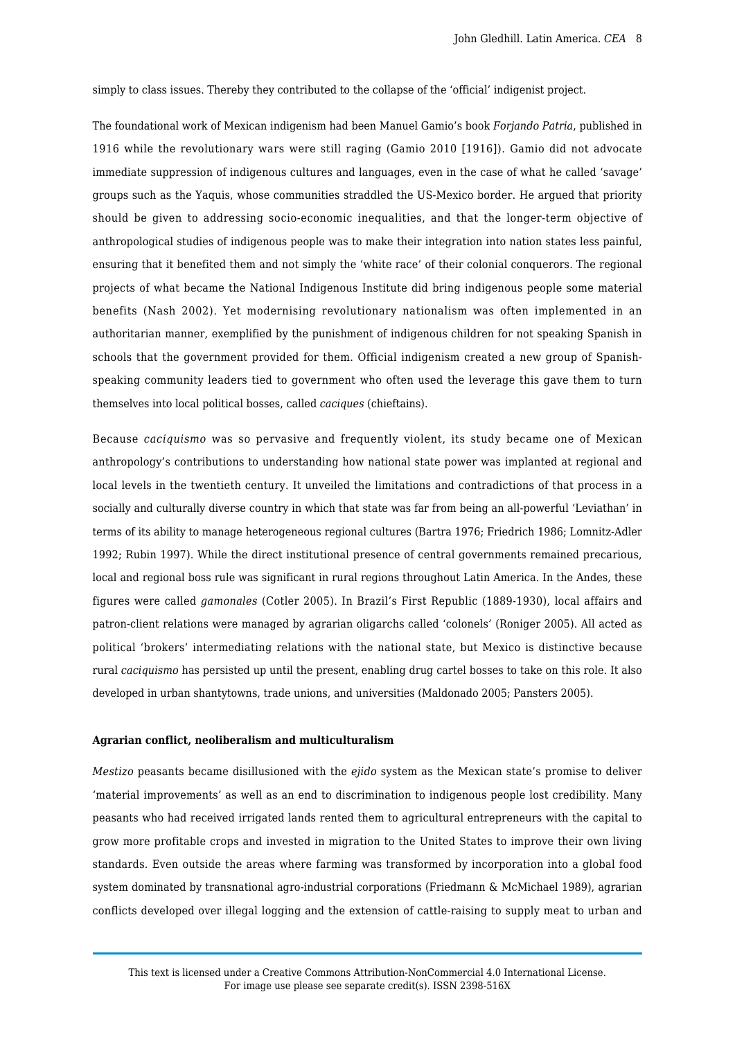simply to class issues. Thereby they contributed to the collapse of the 'official' indigenist project.

The foundational work of Mexican indigenism had been Manuel Gamio's book *Forjando Patria*, published in 1916 while the revolutionary wars were still raging (Gamio 2010 [1916]). Gamio did not advocate immediate suppression of indigenous cultures and languages, even in the case of what he called 'savage' groups such as the Yaquis, whose communities straddled the US-Mexico border. He argued that priority should be given to addressing socio-economic inequalities, and that the longer-term objective of anthropological studies of indigenous people was to make their integration into nation states less painful, ensuring that it benefited them and not simply the 'white race' of their colonial conquerors. The regional projects of what became the National Indigenous Institute did bring indigenous people some material benefits (Nash 2002). Yet modernising revolutionary nationalism was often implemented in an authoritarian manner, exemplified by the punishment of indigenous children for not speaking Spanish in schools that the government provided for them. Official indigenism created a new group of Spanishspeaking community leaders tied to government who often used the leverage this gave them to turn themselves into local political bosses, called *caciques* (chieftains).

Because *caciquismo* was so pervasive and frequently violent, its study became one of Mexican anthropology's contributions to understanding how national state power was implanted at regional and local levels in the twentieth century. It unveiled the limitations and contradictions of that process in a socially and culturally diverse country in which that state was far from being an all-powerful 'Leviathan' in terms of its ability to manage heterogeneous regional cultures (Bartra 1976; Friedrich 1986; Lomnitz-Adler 1992; Rubin 1997). While the direct institutional presence of central governments remained precarious, local and regional boss rule was significant in rural regions throughout Latin America. In the Andes, these figures were called *gamonales* (Cotler 2005). In Brazil's First Republic (1889-1930), local affairs and patron-client relations were managed by agrarian oligarchs called 'colonels' (Roniger 2005). All acted as political 'brokers' intermediating relations with the national state, but Mexico is distinctive because rural *caciquismo* has persisted up until the present, enabling drug cartel bosses to take on this role. It also developed in urban shantytowns, trade unions, and universities (Maldonado 2005; Pansters 2005).

#### **Agrarian conflict, neoliberalism and multiculturalism**

*Mestizo* peasants became disillusioned with the *ejido* system as the Mexican state's promise to deliver 'material improvements' as well as an end to discrimination to indigenous people lost credibility. Many peasants who had received irrigated lands rented them to agricultural entrepreneurs with the capital to grow more profitable crops and invested in migration to the United States to improve their own living standards. Even outside the areas where farming was transformed by incorporation into a global food system dominated by transnational agro-industrial corporations (Friedmann & McMichael 1989), agrarian conflicts developed over illegal logging and the extension of cattle-raising to supply meat to urban and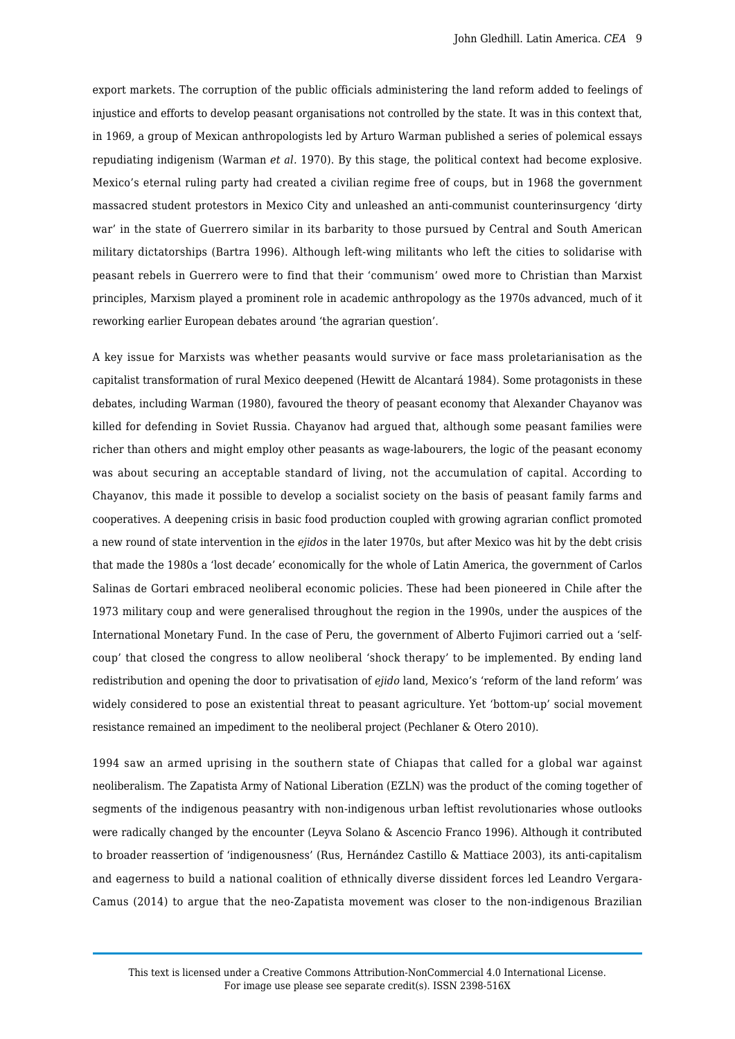export markets. The corruption of the public officials administering the land reform added to feelings of injustice and efforts to develop peasant organisations not controlled by the state. It was in this context that, in 1969, a group of Mexican anthropologists led by Arturo Warman published a series of polemical essays repudiating indigenism (Warman *et al.* 1970). By this stage, the political context had become explosive. Mexico's eternal ruling party had created a civilian regime free of coups, but in 1968 the government massacred student protestors in Mexico City and unleashed an anti-communist counterinsurgency 'dirty war' in the state of Guerrero similar in its barbarity to those pursued by Central and South American military dictatorships (Bartra 1996). Although left-wing militants who left the cities to solidarise with peasant rebels in Guerrero were to find that their 'communism' owed more to Christian than Marxist principles, Marxism played a prominent role in academic anthropology as the 1970s advanced, much of it reworking earlier European debates around 'the agrarian question'.

A key issue for Marxists was whether peasants would survive or face mass proletarianisation as the capitalist transformation of rural Mexico deepened (Hewitt de Alcantará 1984). Some protagonists in these debates, including Warman (1980), favoured the theory of peasant economy that Alexander Chayanov was killed for defending in Soviet Russia. Chayanov had argued that, although some peasant families were richer than others and might employ other peasants as wage-labourers, the logic of the peasant economy was about securing an acceptable standard of living, not the accumulation of capital. According to Chayanov, this made it possible to develop a socialist society on the basis of peasant family farms and cooperatives. A deepening crisis in basic food production coupled with growing agrarian conflict promoted a new round of state intervention in the *ejidos* in the later 1970s, but after Mexico was hit by the debt crisis that made the 1980s a 'lost decade' economically for the whole of Latin America, the government of Carlos Salinas de Gortari embraced neoliberal economic policies. These had been pioneered in Chile after the 1973 military coup and were generalised throughout the region in the 1990s, under the auspices of the International Monetary Fund. In the case of Peru, the government of Alberto Fujimori carried out a 'selfcoup' that closed the congress to allow neoliberal 'shock therapy' to be implemented. By ending land redistribution and opening the door to privatisation of *ejido* land, Mexico's 'reform of the land reform' was widely considered to pose an existential threat to peasant agriculture. Yet 'bottom-up' social movement resistance remained an impediment to the neoliberal project (Pechlaner & Otero 2010).

1994 saw an armed uprising in the southern state of Chiapas that called for a global war against neoliberalism. The Zapatista Army of National Liberation (EZLN) was the product of the coming together of segments of the indigenous peasantry with non-indigenous urban leftist revolutionaries whose outlooks were radically changed by the encounter (Leyva Solano & Ascencio Franco 1996). Although it contributed to broader reassertion of 'indigenousness' (Rus, Hernández Castillo & Mattiace 2003), its anti-capitalism and eagerness to build a national coalition of ethnically diverse dissident forces led Leandro Vergara-Camus (2014) to argue that the neo-Zapatista movement was closer to the non-indigenous Brazilian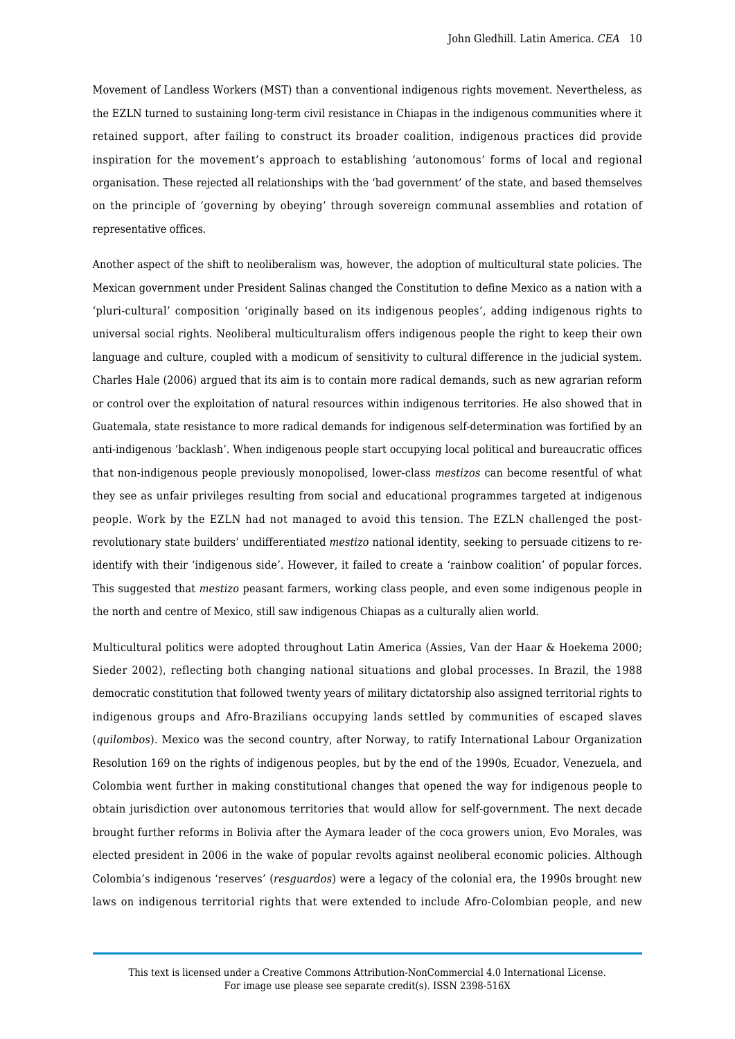Movement of Landless Workers (MST) than a conventional indigenous rights movement. Nevertheless, as the EZLN turned to sustaining long-term civil resistance in Chiapas in the indigenous communities where it retained support, after failing to construct its broader coalition, indigenous practices did provide inspiration for the movement's approach to establishing 'autonomous' forms of local and regional organisation. These rejected all relationships with the 'bad government' of the state, and based themselves on the principle of 'governing by obeying' through sovereign communal assemblies and rotation of representative offices.

Another aspect of the shift to neoliberalism was, however, the adoption of multicultural state policies. The Mexican government under President Salinas changed the Constitution to define Mexico as a nation with a 'pluri-cultural' composition 'originally based on its indigenous peoples', adding indigenous rights to universal social rights. Neoliberal multiculturalism offers indigenous people the right to keep their own language and culture, coupled with a modicum of sensitivity to cultural difference in the judicial system. Charles Hale (2006) argued that its aim is to contain more radical demands, such as new agrarian reform or control over the exploitation of natural resources within indigenous territories. He also showed that in Guatemala, state resistance to more radical demands for indigenous self-determination was fortified by an anti-indigenous 'backlash'. When indigenous people start occupying local political and bureaucratic offices that non-indigenous people previously monopolised, lower-class *mestizos* can become resentful of what they see as unfair privileges resulting from social and educational programmes targeted at indigenous people. Work by the EZLN had not managed to avoid this tension. The EZLN challenged the postrevolutionary state builders' undifferentiated *mestizo* national identity, seeking to persuade citizens to reidentify with their 'indigenous side'. However, it failed to create a 'rainbow coalition' of popular forces. This suggested that *mestizo* peasant farmers, working class people, and even some indigenous people in the north and centre of Mexico, still saw indigenous Chiapas as a culturally alien world.

Multicultural politics were adopted throughout Latin America (Assies, Van der Haar & Hoekema 2000; Sieder 2002), reflecting both changing national situations and global processes. In Brazil, the 1988 democratic constitution that followed twenty years of military dictatorship also assigned territorial rights to indigenous groups and Afro-Brazilians occupying lands settled by communities of escaped slaves (*quilombos*). Mexico was the second country, after Norway, to ratify International Labour Organization Resolution 169 on the rights of indigenous peoples, but by the end of the 1990s, Ecuador, Venezuela, and Colombia went further in making constitutional changes that opened the way for indigenous people to obtain jurisdiction over autonomous territories that would allow for self-government. The next decade brought further reforms in Bolivia after the Aymara leader of the coca growers union, Evo Morales, was elected president in 2006 in the wake of popular revolts against neoliberal economic policies. Although Colombia's indigenous 'reserves' (*resguardos*) were a legacy of the colonial era, the 1990s brought new laws on indigenous territorial rights that were extended to include Afro-Colombian people, and new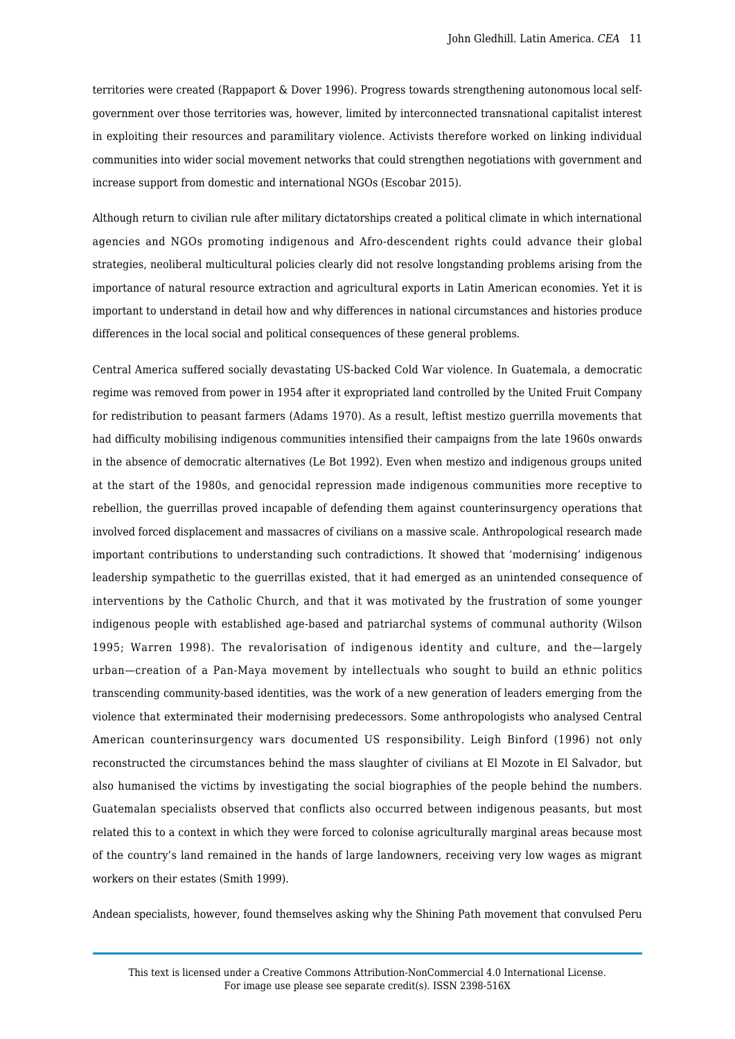territories were created (Rappaport & Dover 1996). Progress towards strengthening autonomous local selfgovernment over those territories was, however, limited by interconnected transnational capitalist interest in exploiting their resources and paramilitary violence. Activists therefore worked on linking individual communities into wider social movement networks that could strengthen negotiations with government and increase support from domestic and international NGOs (Escobar 2015).

Although return to civilian rule after military dictatorships created a political climate in which international agencies and NGOs promoting indigenous and Afro-descendent rights could advance their global strategies, neoliberal multicultural policies clearly did not resolve longstanding problems arising from the importance of natural resource extraction and agricultural exports in Latin American economies. Yet it is important to understand in detail how and why differences in national circumstances and histories produce differences in the local social and political consequences of these general problems.

Central America suffered socially devastating US-backed Cold War violence. In Guatemala, a democratic regime was removed from power in 1954 after it expropriated land controlled by the United Fruit Company for redistribution to peasant farmers (Adams 1970). As a result, leftist mestizo guerrilla movements that had difficulty mobilising indigenous communities intensified their campaigns from the late 1960s onwards in the absence of democratic alternatives (Le Bot 1992). Even when mestizo and indigenous groups united at the start of the 1980s, and genocidal repression made indigenous communities more receptive to rebellion, the guerrillas proved incapable of defending them against counterinsurgency operations that involved forced displacement and massacres of civilians on a massive scale. Anthropological research made important contributions to understanding such contradictions. It showed that 'modernising' indigenous leadership sympathetic to the guerrillas existed, that it had emerged as an unintended consequence of interventions by the Catholic Church, and that it was motivated by the frustration of some younger indigenous people with established age-based and patriarchal systems of communal authority (Wilson 1995; Warren 1998). The revalorisation of indigenous identity and culture, and the—largely urban—creation of a Pan-Maya movement by intellectuals who sought to build an ethnic politics transcending community-based identities, was the work of a new generation of leaders emerging from the violence that exterminated their modernising predecessors. Some anthropologists who analysed Central American counterinsurgency wars documented US responsibility. Leigh Binford (1996) not only reconstructed the circumstances behind the mass slaughter of civilians at El Mozote in El Salvador, but also humanised the victims by investigating the social biographies of the people behind the numbers. Guatemalan specialists observed that conflicts also occurred between indigenous peasants, but most related this to a context in which they were forced to colonise agriculturally marginal areas because most of the country's land remained in the hands of large landowners, receiving very low wages as migrant workers on their estates (Smith 1999).

Andean specialists, however, found themselves asking why the Shining Path movement that convulsed Peru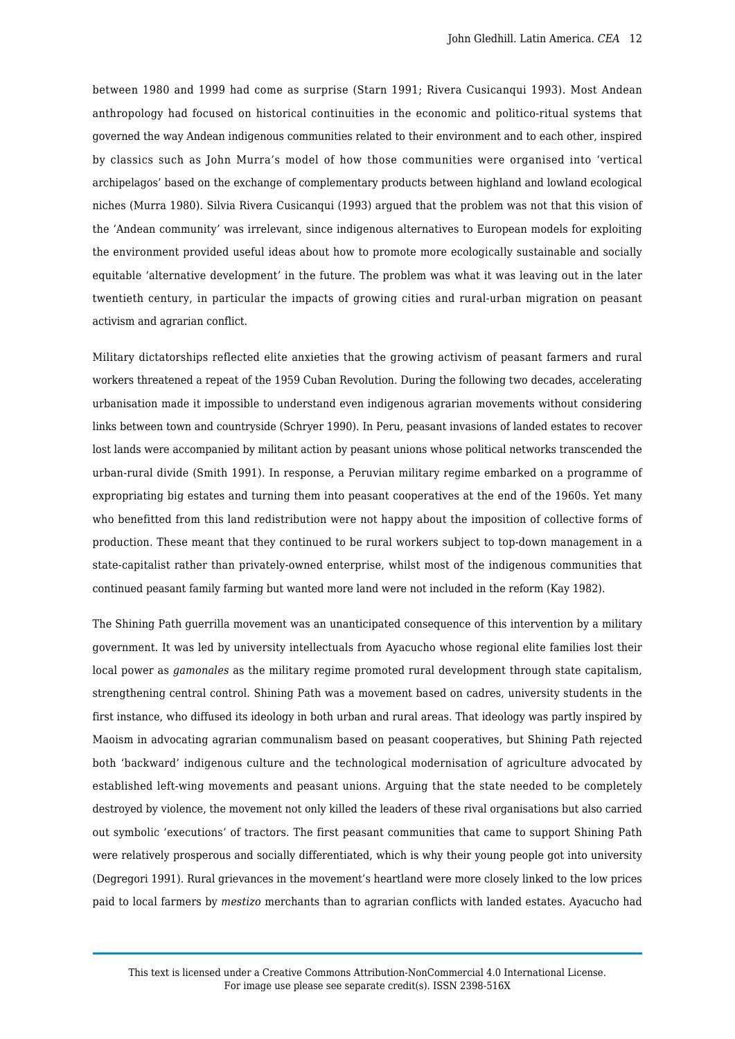between 1980 and 1999 had come as surprise (Starn 1991; Rivera Cusicanqui 1993). Most Andean anthropology had focused on historical continuities in the economic and politico-ritual systems that governed the way Andean indigenous communities related to their environment and to each other, inspired by classics such as John Murra's model of how those communities were organised into 'vertical archipelagos' based on the exchange of complementary products between highland and lowland ecological niches (Murra 1980). Silvia Rivera Cusicanqui (1993) argued that the problem was not that this vision of the 'Andean community' was irrelevant, since indigenous alternatives to European models for exploiting the environment provided useful ideas about how to promote more ecologically sustainable and socially equitable 'alternative development' in the future. The problem was what it was leaving out in the later twentieth century, in particular the impacts of growing cities and rural-urban migration on peasant activism and agrarian conflict.

Military dictatorships reflected elite anxieties that the growing activism of peasant farmers and rural workers threatened a repeat of the 1959 Cuban Revolution. During the following two decades, accelerating urbanisation made it impossible to understand even indigenous agrarian movements without considering links between town and countryside (Schryer 1990). In Peru, peasant invasions of landed estates to recover lost lands were accompanied by militant action by peasant unions whose political networks transcended the urban-rural divide (Smith 1991). In response, a Peruvian military regime embarked on a programme of expropriating big estates and turning them into peasant cooperatives at the end of the 1960s. Yet many who benefitted from this land redistribution were not happy about the imposition of collective forms of production. These meant that they continued to be rural workers subject to top-down management in a state-capitalist rather than privately-owned enterprise, whilst most of the indigenous communities that continued peasant family farming but wanted more land were not included in the reform (Kay 1982).

The Shining Path guerrilla movement was an unanticipated consequence of this intervention by a military government. It was led by university intellectuals from Ayacucho whose regional elite families lost their local power as *gamonales* as the military regime promoted rural development through state capitalism, strengthening central control. Shining Path was a movement based on cadres, university students in the first instance, who diffused its ideology in both urban and rural areas. That ideology was partly inspired by Maoism in advocating agrarian communalism based on peasant cooperatives, but Shining Path rejected both 'backward' indigenous culture and the technological modernisation of agriculture advocated by established left-wing movements and peasant unions. Arguing that the state needed to be completely destroyed by violence, the movement not only killed the leaders of these rival organisations but also carried out symbolic 'executions' of tractors. The first peasant communities that came to support Shining Path were relatively prosperous and socially differentiated, which is why their young people got into university (Degregori 1991). Rural grievances in the movement's heartland were more closely linked to the low prices paid to local farmers by *mestizo* merchants than to agrarian conflicts with landed estates. Ayacucho had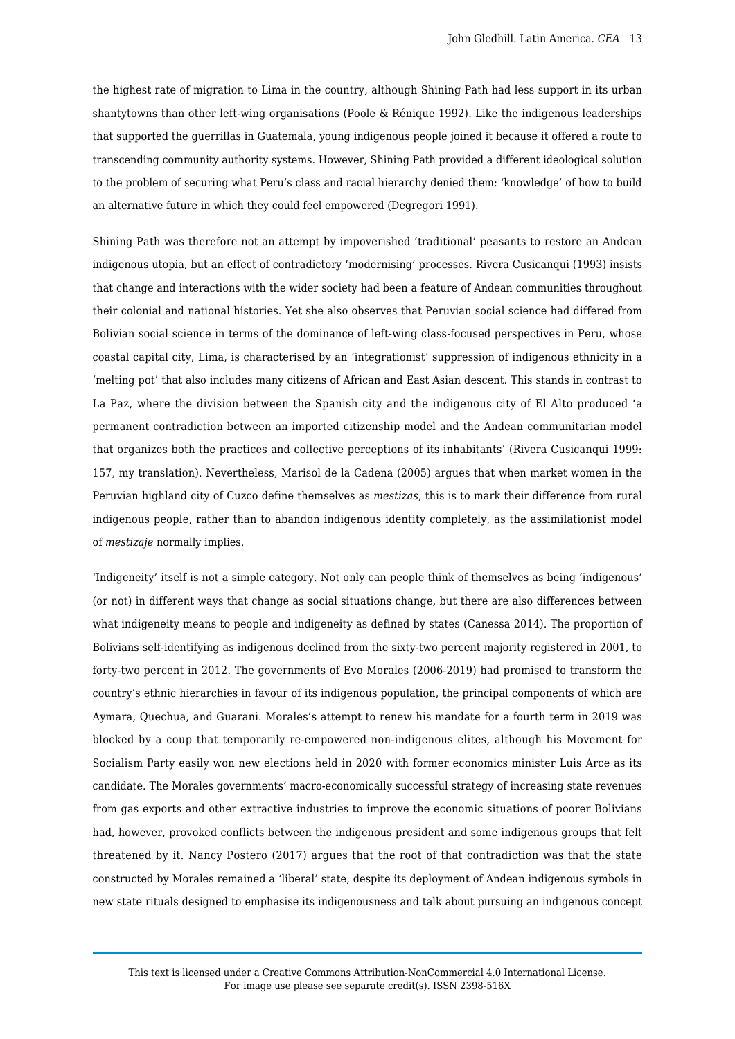the highest rate of migration to Lima in the country, although Shining Path had less support in its urban shantytowns than other left-wing organisations (Poole & Rénique 1992). Like the indigenous leaderships that supported the guerrillas in Guatemala, young indigenous people joined it because it offered a route to transcending community authority systems. However, Shining Path provided a different ideological solution to the problem of securing what Peru's class and racial hierarchy denied them: 'knowledge' of how to build an alternative future in which they could feel empowered (Degregori 1991).

Shining Path was therefore not an attempt by impoverished 'traditional' peasants to restore an Andean indigenous utopia, but an effect of contradictory 'modernising' processes. Rivera Cusicanqui (1993) insists that change and interactions with the wider society had been a feature of Andean communities throughout their colonial and national histories. Yet she also observes that Peruvian social science had differed from Bolivian social science in terms of the dominance of left-wing class-focused perspectives in Peru, whose coastal capital city, Lima, is characterised by an 'integrationist' suppression of indigenous ethnicity in a 'melting pot' that also includes many citizens of African and East Asian descent. This stands in contrast to La Paz, where the division between the Spanish city and the indigenous city of El Alto produced 'a permanent contradiction between an imported citizenship model and the Andean communitarian model that organizes both the practices and collective perceptions of its inhabitants' (Rivera Cusicanqui 1999: 157, my translation). Nevertheless, Marisol de la Cadena (2005) argues that when market women in the Peruvian highland city of Cuzco define themselves as *mestizas*, this is to mark their difference from rural indigenous people, rather than to abandon indigenous identity completely, as the assimilationist model of *mestizaje* normally implies.

'Indigeneity' itself is not a simple category. Not only can people think of themselves as being 'indigenous' (or not) in different ways that change as social situations change, but there are also differences between what indigeneity means to people and indigeneity as defined by states (Canessa 2014). The proportion of Bolivians self-identifying as indigenous declined from the sixty-two percent majority registered in 2001, to forty-two percent in 2012. The governments of Evo Morales (2006-2019) had promised to transform the country's ethnic hierarchies in favour of its indigenous population, the principal components of which are Aymara, Quechua, and Guarani. Morales's attempt to renew his mandate for a fourth term in 2019 was blocked by a coup that temporarily re-empowered non-indigenous elites, although his Movement for Socialism Party easily won new elections held in 2020 with former economics minister Luis Arce as its candidate. The Morales governments' macro-economically successful strategy of increasing state revenues from gas exports and other extractive industries to improve the economic situations of poorer Bolivians had, however, provoked conflicts between the indigenous president and some indigenous groups that felt threatened by it. Nancy Postero (2017) argues that the root of that contradiction was that the state constructed by Morales remained a 'liberal' state, despite its deployment of Andean indigenous symbols in new state rituals designed to emphasise its indigenousness and talk about pursuing an indigenous concept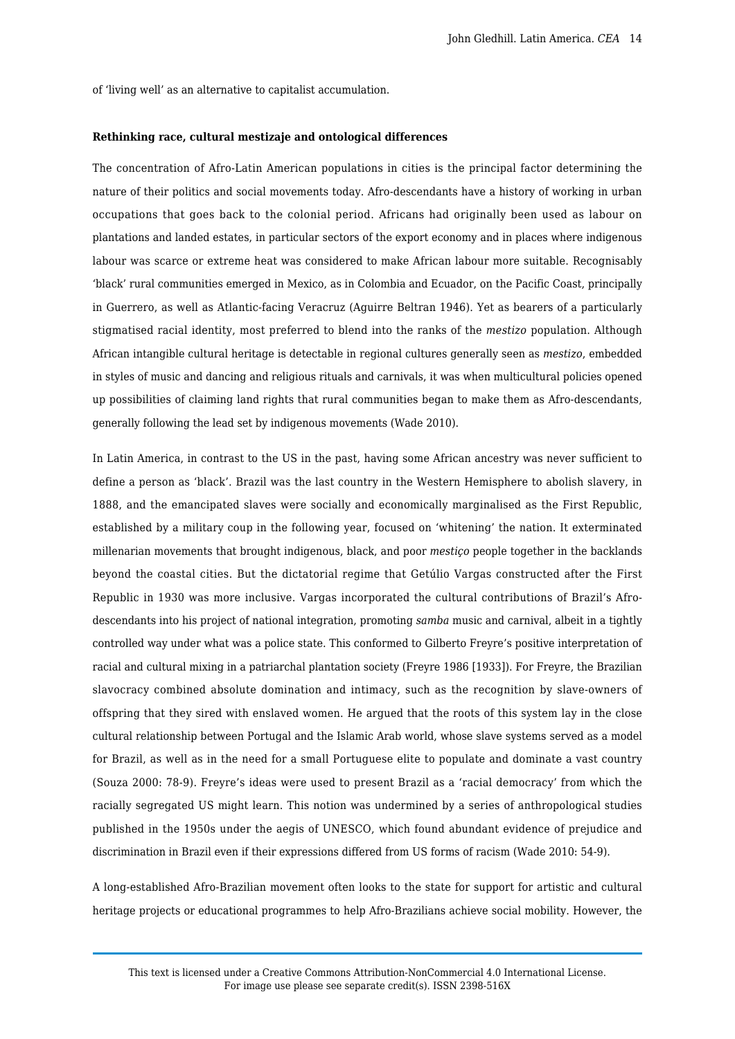of 'living well' as an alternative to capitalist accumulation.

#### **Rethinking race, cultural mestizaje and ontological differences**

The concentration of Afro-Latin American populations in cities is the principal factor determining the nature of their politics and social movements today. Afro-descendants have a history of working in urban occupations that goes back to the colonial period. Africans had originally been used as labour on plantations and landed estates, in particular sectors of the export economy and in places where indigenous labour was scarce or extreme heat was considered to make African labour more suitable. Recognisably 'black' rural communities emerged in Mexico, as in Colombia and Ecuador, on the Pacific Coast, principally in Guerrero, as well as Atlantic-facing Veracruz (Aguirre Beltran 1946). Yet as bearers of a particularly stigmatised racial identity, most preferred to blend into the ranks of the *mestizo* population. Although African intangible cultural heritage is detectable in regional cultures generally seen as *mestizo*, embedded in styles of music and dancing and religious rituals and carnivals, it was when multicultural policies opened up possibilities of claiming land rights that rural communities began to make them as Afro-descendants, generally following the lead set by indigenous movements (Wade 2010).

In Latin America, in contrast to the US in the past, having some African ancestry was never sufficient to define a person as 'black'. Brazil was the last country in the Western Hemisphere to abolish slavery, in 1888, and the emancipated slaves were socially and economically marginalised as the First Republic, established by a military coup in the following year, focused on 'whitening' the nation. It exterminated millenarian movements that brought indigenous, black, and poor *mestiço* people together in the backlands beyond the coastal cities. But the dictatorial regime that Getúlio Vargas constructed after the First Republic in 1930 was more inclusive. Vargas incorporated the cultural contributions of Brazil's Afrodescendants into his project of national integration, promoting *samba* music and carnival, albeit in a tightly controlled way under what was a police state. This conformed to Gilberto Freyre's positive interpretation of racial and cultural mixing in a patriarchal plantation society (Freyre 1986 [1933]). For Freyre, the Brazilian slavocracy combined absolute domination and intimacy, such as the recognition by slave-owners of offspring that they sired with enslaved women. He argued that the roots of this system lay in the close cultural relationship between Portugal and the Islamic Arab world, whose slave systems served as a model for Brazil, as well as in the need for a small Portuguese elite to populate and dominate a vast country (Souza 2000: 78-9). Freyre's ideas were used to present Brazil as a 'racial democracy' from which the racially segregated US might learn. This notion was undermined by a series of anthropological studies published in the 1950s under the aegis of UNESCO, which found abundant evidence of prejudice and discrimination in Brazil even if their expressions differed from US forms of racism (Wade 2010: 54-9).

A long-established Afro-Brazilian movement often looks to the state for support for artistic and cultural heritage projects or educational programmes to help Afro-Brazilians achieve social mobility. However, the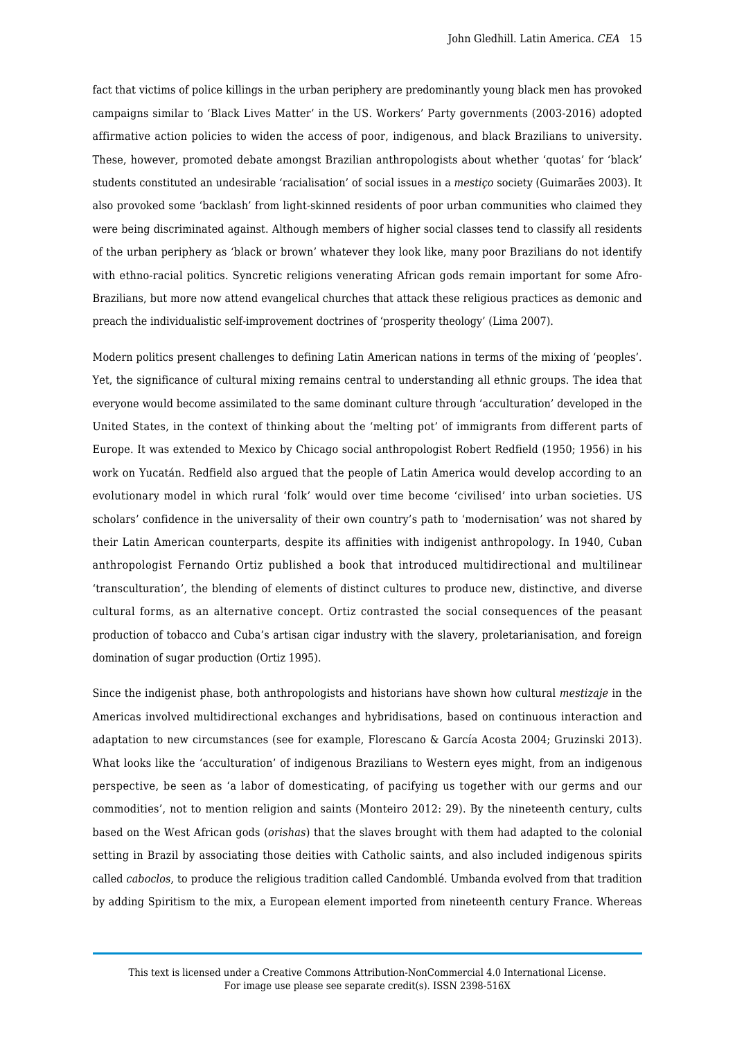fact that victims of police killings in the urban periphery are predominantly young black men has provoked campaigns similar to 'Black Lives Matter' in the US. Workers' Party governments (2003-2016) adopted affirmative action policies to widen the access of poor, indigenous, and black Brazilians to university. These, however, promoted debate amongst Brazilian anthropologists about whether 'quotas' for 'black' students constituted an undesirable 'racialisation' of social issues in a *mestiço* society (Guimarães 2003). It also provoked some 'backlash' from light-skinned residents of poor urban communities who claimed they were being discriminated against. Although members of higher social classes tend to classify all residents of the urban periphery as 'black or brown' whatever they look like, many poor Brazilians do not identify with ethno-racial politics. Syncretic religions venerating African gods remain important for some Afro-Brazilians, but more now attend evangelical churches that attack these religious practices as demonic and preach the individualistic self-improvement doctrines of 'prosperity theology' (Lima 2007).

Modern politics present challenges to defining Latin American nations in terms of the mixing of 'peoples'. Yet, the significance of cultural mixing remains central to understanding all ethnic groups. The idea that everyone would become assimilated to the same dominant culture through 'acculturation' developed in the United States, in the context of thinking about the 'melting pot' of immigrants from different parts of Europe. It was extended to Mexico by Chicago social anthropologist Robert Redfield (1950; 1956) in his work on Yucatán. Redfield also argued that the people of Latin America would develop according to an evolutionary model in which rural 'folk' would over time become 'civilised' into urban societies. US scholars' confidence in the universality of their own country's path to 'modernisation' was not shared by their Latin American counterparts, despite its affinities with indigenist anthropology. In 1940, Cuban anthropologist Fernando Ortiz published a book that introduced multidirectional and multilinear 'transculturation', the blending of elements of distinct cultures to produce new, distinctive, and diverse cultural forms, as an alternative concept. Ortiz contrasted the social consequences of the peasant production of tobacco and Cuba's artisan cigar industry with the slavery, proletarianisation, and foreign domination of sugar production (Ortiz 1995).

Since the indigenist phase, both anthropologists and historians have shown how cultural *mestizaje* in the Americas involved multidirectional exchanges and hybridisations, based on continuous interaction and adaptation to new circumstances (see for example, Florescano & García Acosta 2004; Gruzinski 2013). What looks like the 'acculturation' of indigenous Brazilians to Western eyes might, from an indigenous perspective, be seen as 'a labor of domesticating, of pacifying us together with our germs and our commodities', not to mention religion and saints (Monteiro 2012: 29). By the nineteenth century, cults based on the West African gods (*orishas*) that the slaves brought with them had adapted to the colonial setting in Brazil by associating those deities with Catholic saints, and also included indigenous spirits called *caboclos*, to produce the religious tradition called Candomblé. Umbanda evolved from that tradition by adding Spiritism to the mix, a European element imported from nineteenth century France. Whereas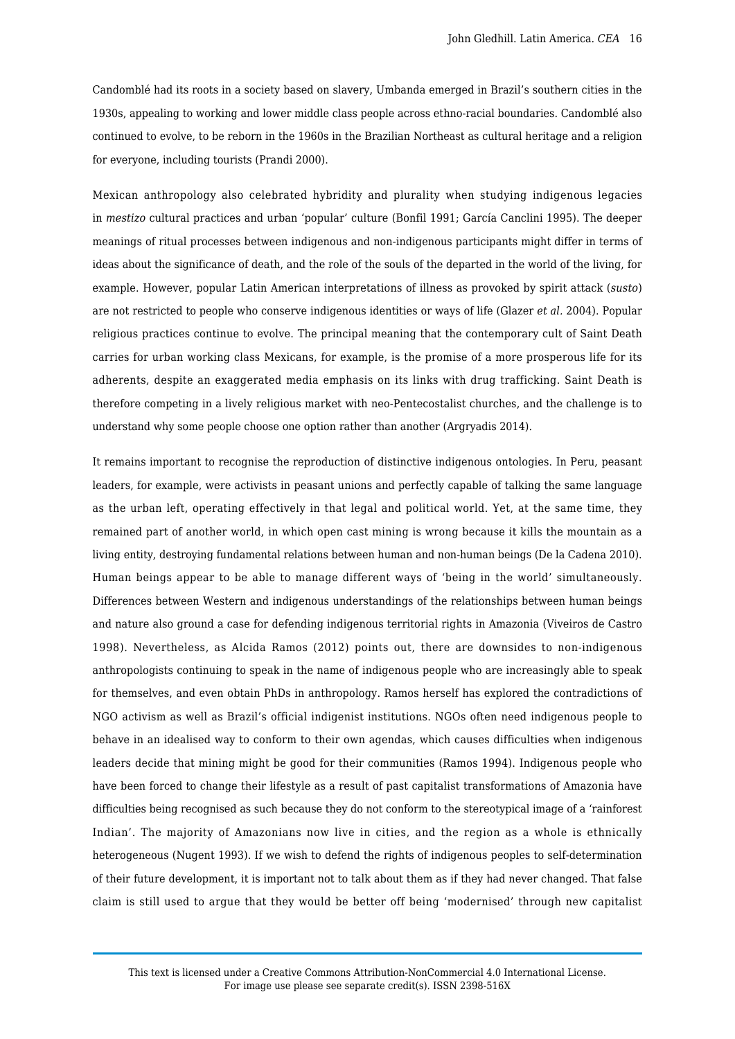Candomblé had its roots in a society based on slavery, Umbanda emerged in Brazil's southern cities in the 1930s, appealing to working and lower middle class people across ethno-racial boundaries. Candomblé also continued to evolve, to be reborn in the 1960s in the Brazilian Northeast as cultural heritage and a religion for everyone, including tourists (Prandi 2000).

Mexican anthropology also celebrated hybridity and plurality when studying indigenous legacies in *mestizo* cultural practices and urban 'popular' culture (Bonfil 1991; García Canclini 1995). The deeper meanings of ritual processes between indigenous and non-indigenous participants might differ in terms of ideas about the significance of death, and the role of the souls of the departed in the world of the living, for example. However, popular Latin American interpretations of illness as provoked by spirit attack (*susto*) are not restricted to people who conserve indigenous identities or ways of life (Glazer *et al.* 2004). Popular religious practices continue to evolve. The principal meaning that the contemporary cult of Saint Death carries for urban working class Mexicans, for example, is the promise of a more prosperous life for its adherents, despite an exaggerated media emphasis on its links with drug trafficking. Saint Death is therefore competing in a lively religious market with neo-Pentecostalist churches, and the challenge is to understand why some people choose one option rather than another (Argryadis 2014).

It remains important to recognise the reproduction of distinctive indigenous ontologies. In Peru, peasant leaders, for example, were activists in peasant unions and perfectly capable of talking the same language as the urban left, operating effectively in that legal and political world. Yet, at the same time, they remained part of another world, in which open cast mining is wrong because it kills the mountain as a living entity, destroying fundamental relations between human and non-human beings (De la Cadena 2010). Human beings appear to be able to manage different ways of 'being in the world' simultaneously. Differences between Western and indigenous understandings of the relationships between human beings and nature also ground a case for defending indigenous territorial rights in Amazonia (Viveiros de Castro 1998). Nevertheless, as Alcida Ramos (2012) points out, there are downsides to non-indigenous anthropologists continuing to speak in the name of indigenous people who are increasingly able to speak for themselves, and even obtain PhDs in anthropology. Ramos herself has explored the contradictions of NGO activism as well as Brazil's official indigenist institutions. NGOs often need indigenous people to behave in an idealised way to conform to their own agendas, which causes difficulties when indigenous leaders decide that mining might be good for their communities (Ramos 1994). Indigenous people who have been forced to change their lifestyle as a result of past capitalist transformations of Amazonia have difficulties being recognised as such because they do not conform to the stereotypical image of a 'rainforest Indian'. The majority of Amazonians now live in cities, and the region as a whole is ethnically heterogeneous (Nugent 1993). If we wish to defend the rights of indigenous peoples to self-determination of their future development, it is important not to talk about them as if they had never changed. That false claim is still used to argue that they would be better off being 'modernised' through new capitalist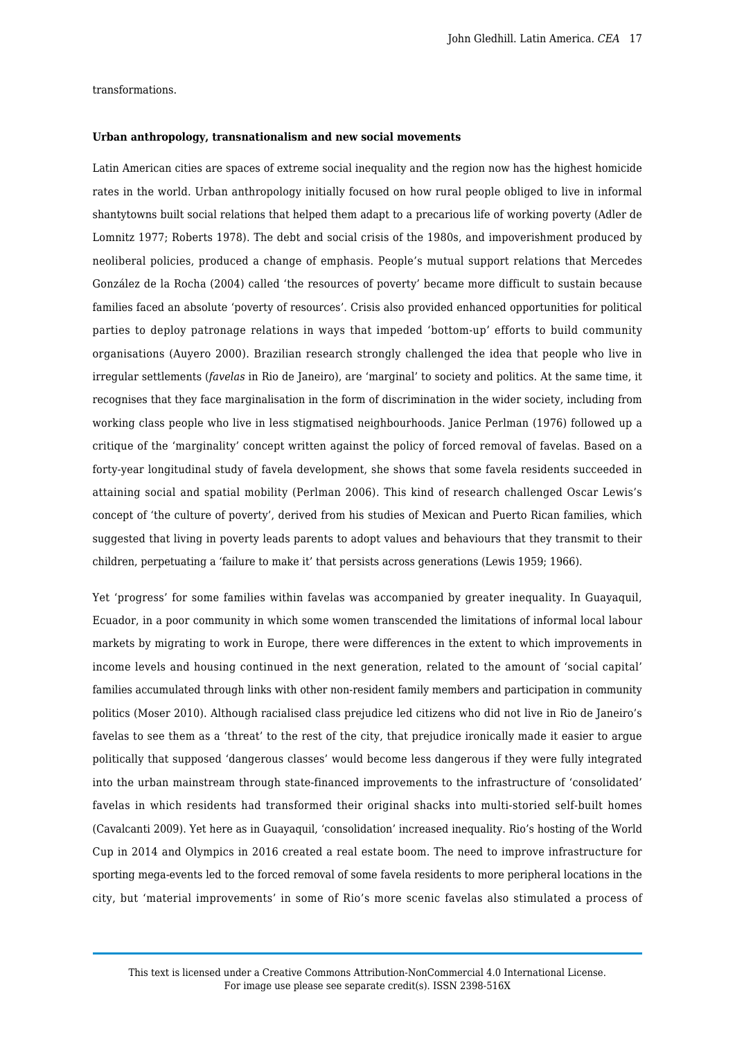# transformations.

#### **Urban anthropology, transnationalism and new social movements**

Latin American cities are spaces of extreme social inequality and the region now has the highest homicide rates in the world. Urban anthropology initially focused on how rural people obliged to live in informal shantytowns built social relations that helped them adapt to a precarious life of working poverty (Adler de Lomnitz 1977; Roberts 1978). The debt and social crisis of the 1980s, and impoverishment produced by neoliberal policies, produced a change of emphasis. People's mutual support relations that Mercedes González de la Rocha (2004) called 'the resources of poverty' became more difficult to sustain because families faced an absolute 'poverty of resources'. Crisis also provided enhanced opportunities for political parties to deploy patronage relations in ways that impeded 'bottom-up' efforts to build community organisations (Auyero 2000). Brazilian research strongly challenged the idea that people who live in irregular settlements (*favelas* in Rio de Janeiro), are 'marginal' to society and politics. At the same time, it recognises that they face marginalisation in the form of discrimination in the wider society, including from working class people who live in less stigmatised neighbourhoods. Janice Perlman (1976) followed up a critique of the 'marginality' concept written against the policy of forced removal of favelas. Based on a forty-year longitudinal study of favela development, she shows that some favela residents succeeded in attaining social and spatial mobility (Perlman 2006). This kind of research challenged Oscar Lewis's concept of 'the culture of poverty', derived from his studies of Mexican and Puerto Rican families, which suggested that living in poverty leads parents to adopt values and behaviours that they transmit to their children, perpetuating a 'failure to make it' that persists across generations (Lewis 1959; 1966).

Yet 'progress' for some families within favelas was accompanied by greater inequality. In Guayaquil, Ecuador, in a poor community in which some women transcended the limitations of informal local labour markets by migrating to work in Europe, there were differences in the extent to which improvements in income levels and housing continued in the next generation, related to the amount of 'social capital' families accumulated through links with other non-resident family members and participation in community politics (Moser 2010). Although racialised class prejudice led citizens who did not live in Rio de Janeiro's favelas to see them as a 'threat' to the rest of the city, that prejudice ironically made it easier to argue politically that supposed 'dangerous classes' would become less dangerous if they were fully integrated into the urban mainstream through state-financed improvements to the infrastructure of 'consolidated' favelas in which residents had transformed their original shacks into multi-storied self-built homes (Cavalcanti 2009). Yet here as in Guayaquil, 'consolidation' increased inequality. Rio's hosting of the World Cup in 2014 and Olympics in 2016 created a real estate boom. The need to improve infrastructure for sporting mega-events led to the forced removal of some favela residents to more peripheral locations in the city, but 'material improvements' in some of Rio's more scenic favelas also stimulated a process of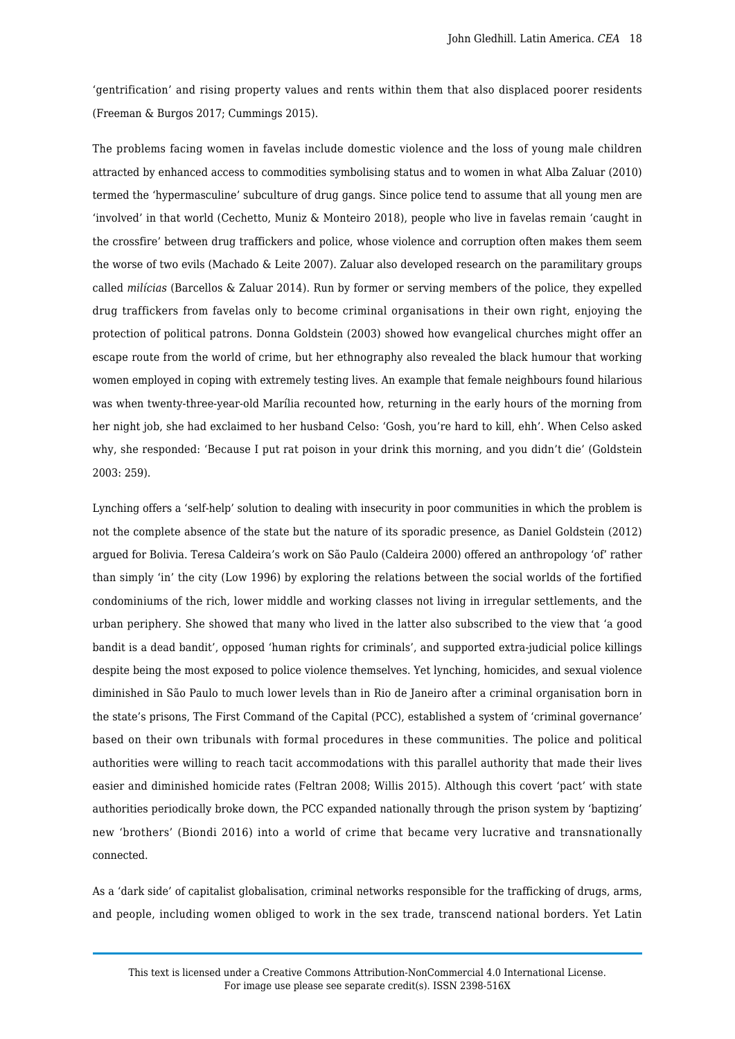'gentrification' and rising property values and rents within them that also displaced poorer residents (Freeman & Burgos 2017; Cummings 2015).

The problems facing women in favelas include domestic violence and the loss of young male children attracted by enhanced access to commodities symbolising status and to women in what Alba Zaluar (2010) termed the 'hypermasculine' subculture of drug gangs. Since police tend to assume that all young men are 'involved' in that world (Cechetto, Muniz & Monteiro 2018), people who live in favelas remain 'caught in the crossfire' between drug traffickers and police, whose violence and corruption often makes them seem the worse of two evils (Machado & Leite 2007). Zaluar also developed research on the paramilitary groups called *milícias* (Barcellos & Zaluar 2014). Run by former or serving members of the police, they expelled drug traffickers from favelas only to become criminal organisations in their own right, enjoying the protection of political patrons. Donna Goldstein (2003) showed how evangelical churches might offer an escape route from the world of crime, but her ethnography also revealed the black humour that working women employed in coping with extremely testing lives. An example that female neighbours found hilarious was when twenty-three-year-old Marília recounted how, returning in the early hours of the morning from her night job, she had exclaimed to her husband Celso: 'Gosh, you're hard to kill, ehh'. When Celso asked why, she responded: 'Because I put rat poison in your drink this morning, and you didn't die' (Goldstein 2003: 259).

Lynching offers a 'self-help' solution to dealing with insecurity in poor communities in which the problem is not the complete absence of the state but the nature of its sporadic presence, as Daniel Goldstein (2012) argued for Bolivia. Teresa Caldeira's work on São Paulo (Caldeira 2000) offered an anthropology 'of' rather than simply 'in' the city (Low 1996) by exploring the relations between the social worlds of the fortified condominiums of the rich, lower middle and working classes not living in irregular settlements, and the urban periphery. She showed that many who lived in the latter also subscribed to the view that 'a good bandit is a dead bandit', opposed 'human rights for criminals', and supported extra-judicial police killings despite being the most exposed to police violence themselves. Yet lynching, homicides, and sexual violence diminished in São Paulo to much lower levels than in Rio de Janeiro after a criminal organisation born in the state's prisons, The First Command of the Capital (PCC), established a system of 'criminal governance' based on their own tribunals with formal procedures in these communities. The police and political authorities were willing to reach tacit accommodations with this parallel authority that made their lives easier and diminished homicide rates (Feltran 2008; Willis 2015). Although this covert 'pact' with state authorities periodically broke down, the PCC expanded nationally through the prison system by 'baptizing' new 'brothers' (Biondi 2016) into a world of crime that became very lucrative and transnationally connected.

As a 'dark side' of capitalist globalisation, criminal networks responsible for the trafficking of drugs, arms, and people, including women obliged to work in the sex trade, transcend national borders. Yet Latin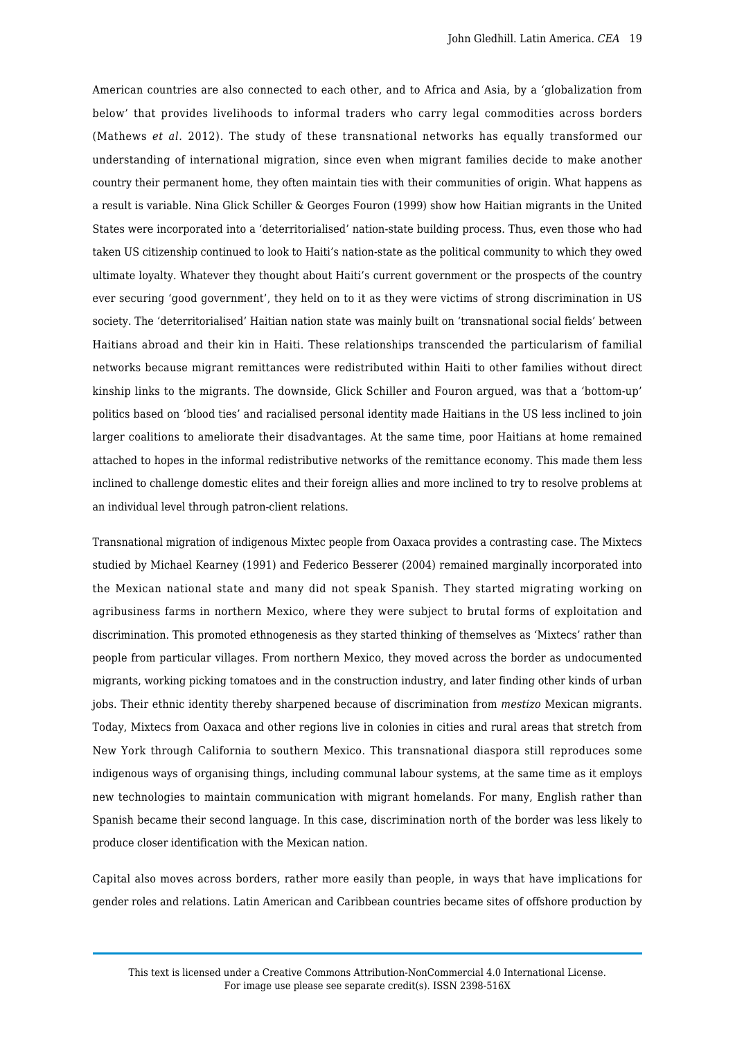American countries are also connected to each other, and to Africa and Asia, by a 'globalization from below' that provides livelihoods to informal traders who carry legal commodities across borders (Mathews *et al.* 2012). The study of these transnational networks has equally transformed our understanding of international migration, since even when migrant families decide to make another country their permanent home, they often maintain ties with their communities of origin. What happens as a result is variable. Nina Glick Schiller & Georges Fouron (1999) show how Haitian migrants in the United States were incorporated into a 'deterritorialised' nation-state building process. Thus, even those who had taken US citizenship continued to look to Haiti's nation-state as the political community to which they owed ultimate loyalty. Whatever they thought about Haiti's current government or the prospects of the country ever securing 'good government', they held on to it as they were victims of strong discrimination in US society. The 'deterritorialised' Haitian nation state was mainly built on 'transnational social fields' between Haitians abroad and their kin in Haiti. These relationships transcended the particularism of familial networks because migrant remittances were redistributed within Haiti to other families without direct kinship links to the migrants. The downside, Glick Schiller and Fouron argued, was that a 'bottom-up' politics based on 'blood ties' and racialised personal identity made Haitians in the US less inclined to join larger coalitions to ameliorate their disadvantages. At the same time, poor Haitians at home remained attached to hopes in the informal redistributive networks of the remittance economy. This made them less inclined to challenge domestic elites and their foreign allies and more inclined to try to resolve problems at an individual level through patron-client relations.

Transnational migration of indigenous Mixtec people from Oaxaca provides a contrasting case. The Mixtecs studied by Michael Kearney (1991) and Federico Besserer (2004) remained marginally incorporated into the Mexican national state and many did not speak Spanish. They started migrating working on agribusiness farms in northern Mexico, where they were subject to brutal forms of exploitation and discrimination. This promoted ethnogenesis as they started thinking of themselves as 'Mixtecs' rather than people from particular villages. From northern Mexico, they moved across the border as undocumented migrants, working picking tomatoes and in the construction industry, and later finding other kinds of urban jobs. Their ethnic identity thereby sharpened because of discrimination from *mestizo* Mexican migrants. Today, Mixtecs from Oaxaca and other regions live in colonies in cities and rural areas that stretch from New York through California to southern Mexico. This transnational diaspora still reproduces some indigenous ways of organising things, including communal labour systems, at the same time as it employs new technologies to maintain communication with migrant homelands. For many, English rather than Spanish became their second language. In this case, discrimination north of the border was less likely to produce closer identification with the Mexican nation.

Capital also moves across borders, rather more easily than people, in ways that have implications for gender roles and relations. Latin American and Caribbean countries became sites of offshore production by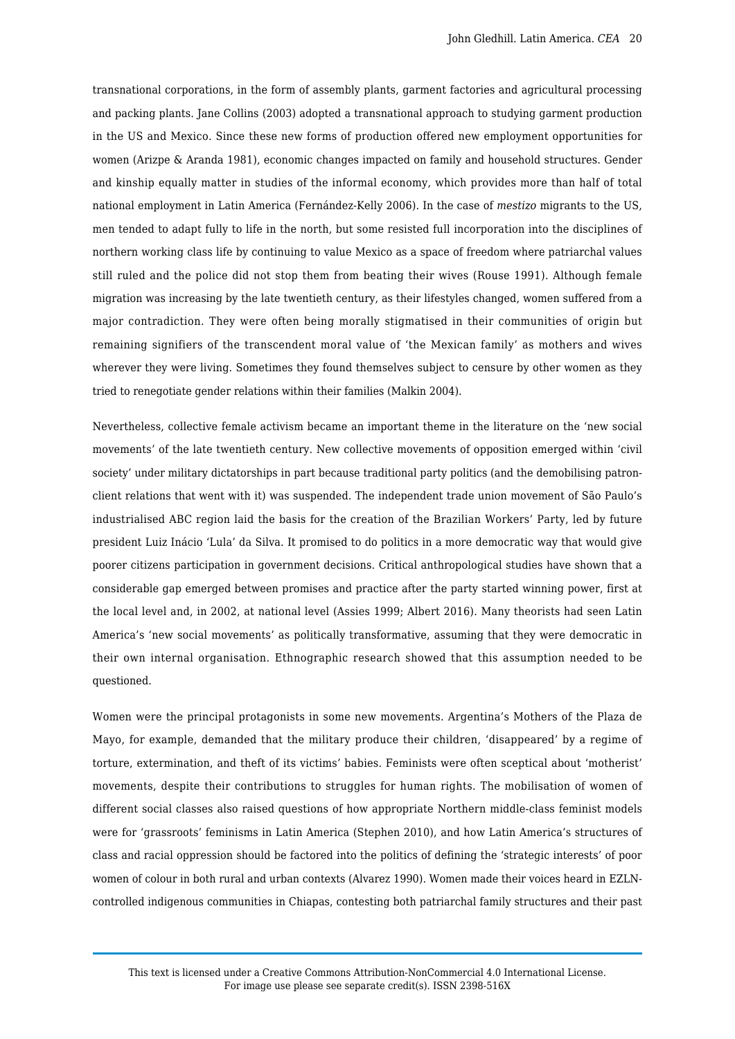transnational corporations, in the form of assembly plants, garment factories and agricultural processing and packing plants. Jane Collins (2003) adopted a transnational approach to studying garment production in the US and Mexico. Since these new forms of production offered new employment opportunities for women (Arizpe & Aranda 1981), economic changes impacted on family and household structures. Gender and kinship equally matter in studies of the informal economy, which provides more than half of total national employment in Latin America (Fernández-Kelly 2006). In the case of *mestizo* migrants to the US, men tended to adapt fully to life in the north, but some resisted full incorporation into the disciplines of northern working class life by continuing to value Mexico as a space of freedom where patriarchal values still ruled and the police did not stop them from beating their wives (Rouse 1991). Although female migration was increasing by the late twentieth century, as their lifestyles changed, women suffered from a major contradiction. They were often being morally stigmatised in their communities of origin but remaining signifiers of the transcendent moral value of 'the Mexican family' as mothers and wives wherever they were living. Sometimes they found themselves subject to censure by other women as they tried to renegotiate gender relations within their families (Malkin 2004).

Nevertheless, collective female activism became an important theme in the literature on the 'new social movements' of the late twentieth century. New collective movements of opposition emerged within 'civil society' under military dictatorships in part because traditional party politics (and the demobilising patronclient relations that went with it) was suspended. The independent trade union movement of São Paulo's industrialised ABC region laid the basis for the creation of the Brazilian Workers' Party, led by future president Luiz Inácio 'Lula' da Silva. It promised to do politics in a more democratic way that would give poorer citizens participation in government decisions. Critical anthropological studies have shown that a considerable gap emerged between promises and practice after the party started winning power, first at the local level and, in 2002, at national level (Assies 1999; Albert 2016). Many theorists had seen Latin America's 'new social movements' as politically transformative, assuming that they were democratic in their own internal organisation. Ethnographic research showed that this assumption needed to be questioned.

Women were the principal protagonists in some new movements. Argentina's Mothers of the Plaza de Mayo, for example, demanded that the military produce their children, 'disappeared' by a regime of torture, extermination, and theft of its victims' babies. Feminists were often sceptical about 'motherist' movements, despite their contributions to struggles for human rights. The mobilisation of women of different social classes also raised questions of how appropriate Northern middle-class feminist models were for 'grassroots' feminisms in Latin America (Stephen 2010), and how Latin America's structures of class and racial oppression should be factored into the politics of defining the 'strategic interests' of poor women of colour in both rural and urban contexts (Alvarez 1990). Women made their voices heard in EZLNcontrolled indigenous communities in Chiapas, contesting both patriarchal family structures and their past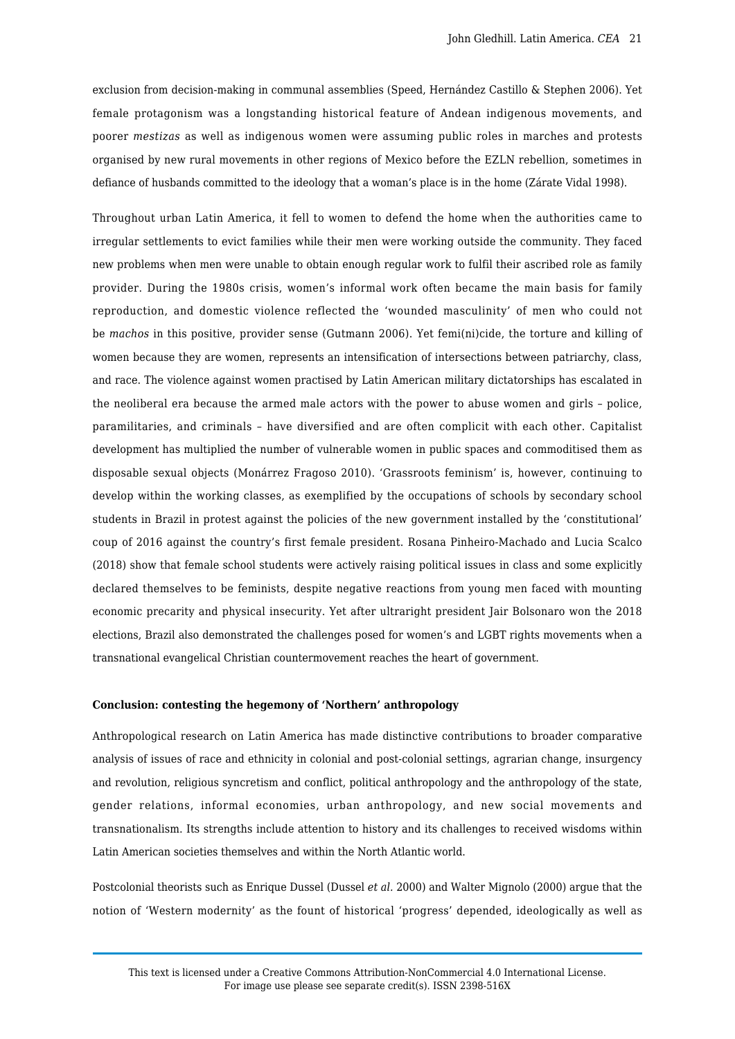exclusion from decision-making in communal assemblies (Speed, Hernández Castillo & Stephen 2006). Yet female protagonism was a longstanding historical feature of Andean indigenous movements, and poorer *mestizas* as well as indigenous women were assuming public roles in marches and protests organised by new rural movements in other regions of Mexico before the EZLN rebellion, sometimes in defiance of husbands committed to the ideology that a woman's place is in the home (Zárate Vidal 1998).

Throughout urban Latin America, it fell to women to defend the home when the authorities came to irregular settlements to evict families while their men were working outside the community. They faced new problems when men were unable to obtain enough regular work to fulfil their ascribed role as family provider. During the 1980s crisis, women's informal work often became the main basis for family reproduction, and domestic violence reflected the 'wounded masculinity' of men who could not be *machos* in this positive, provider sense (Gutmann 2006). Yet femi(ni)cide, the torture and killing of women because they are women, represents an intensification of intersections between patriarchy, class, and race. The violence against women practised by Latin American military dictatorships has escalated in the neoliberal era because the armed male actors with the power to abuse women and girls – police, paramilitaries, and criminals – have diversified and are often complicit with each other. Capitalist development has multiplied the number of vulnerable women in public spaces and commoditised them as disposable sexual objects (Monárrez Fragoso 2010). 'Grassroots feminism' is, however, continuing to develop within the working classes, as exemplified by the occupations of schools by secondary school students in Brazil in protest against the policies of the new government installed by the 'constitutional' coup of 2016 against the country's first female president. Rosana Pinheiro-Machado and Lucia Scalco (2018) show that female school students were actively raising political issues in class and some explicitly declared themselves to be feminists, despite negative reactions from young men faced with mounting economic precarity and physical insecurity. Yet after ultraright president Jair Bolsonaro won the 2018 elections, Brazil also demonstrated the challenges posed for women's and LGBT rights movements when a transnational evangelical Christian countermovement reaches the heart of government.

## **Conclusion: contesting the hegemony of 'Northern' anthropology**

Anthropological research on Latin America has made distinctive contributions to broader comparative analysis of issues of race and ethnicity in colonial and post-colonial settings, agrarian change, insurgency and revolution, religious syncretism and conflict, political anthropology and the anthropology of the state, gender relations, informal economies, urban anthropology, and new social movements and transnationalism. Its strengths include attention to history and its challenges to received wisdoms within Latin American societies themselves and within the North Atlantic world.

Postcolonial theorists such as Enrique Dussel (Dussel *et al.* 2000) and Walter Mignolo (2000) argue that the notion of 'Western modernity' as the fount of historical 'progress' depended, ideologically as well as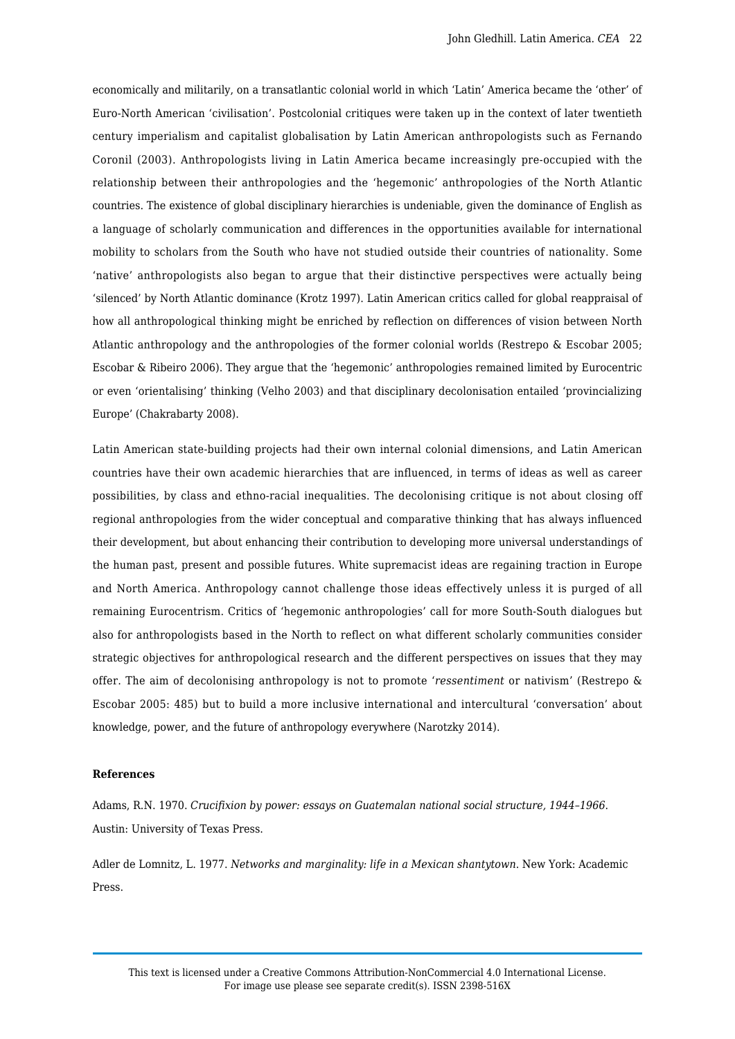economically and militarily, on a transatlantic colonial world in which 'Latin' America became the 'other' of Euro-North American 'civilisation'. Postcolonial critiques were taken up in the context of later twentieth century imperialism and capitalist globalisation by Latin American anthropologists such as Fernando Coronil (2003). Anthropologists living in Latin America became increasingly pre-occupied with the relationship between their anthropologies and the 'hegemonic' anthropologies of the North Atlantic countries. The existence of global disciplinary hierarchies is undeniable, given the dominance of English as a language of scholarly communication and differences in the opportunities available for international mobility to scholars from the South who have not studied outside their countries of nationality. Some 'native' anthropologists also began to argue that their distinctive perspectives were actually being 'silenced' by North Atlantic dominance (Krotz 1997). Latin American critics called for global reappraisal of how all anthropological thinking might be enriched by reflection on differences of vision between North Atlantic anthropology and the anthropologies of the former colonial worlds (Restrepo & Escobar 2005; Escobar & Ribeiro 2006). They argue that the 'hegemonic' anthropologies remained limited by Eurocentric or even 'orientalising' thinking (Velho 2003) and that disciplinary decolonisation entailed 'provincializing Europe' (Chakrabarty 2008).

Latin American state-building projects had their own internal colonial dimensions, and Latin American countries have their own academic hierarchies that are influenced, in terms of ideas as well as career possibilities, by class and ethno-racial inequalities. The decolonising critique is not about closing off regional anthropologies from the wider conceptual and comparative thinking that has always influenced their development, but about enhancing their contribution to developing more universal understandings of the human past, present and possible futures. White supremacist ideas are regaining traction in Europe and North America. Anthropology cannot challenge those ideas effectively unless it is purged of all remaining Eurocentrism. Critics of 'hegemonic anthropologies' call for more South-South dialogues but also for anthropologists based in the North to reflect on what different scholarly communities consider strategic objectives for anthropological research and the different perspectives on issues that they may offer. The aim of decolonising anthropology is not to promote '*ressentiment* or nativism' (Restrepo & Escobar 2005: 485) but to build a more inclusive international and intercultural 'conversation' about knowledge, power, and the future of anthropology everywhere (Narotzky 2014).

#### **References**

Adams, R.N. 1970. *Crucifixion by power: essays on Guatemalan national social structure, 1944–1966*. Austin: University of Texas Press.

Adler de Lomnitz, L. 1977. *Networks and marginality: life in a Mexican shantytown*. New York: Academic Press.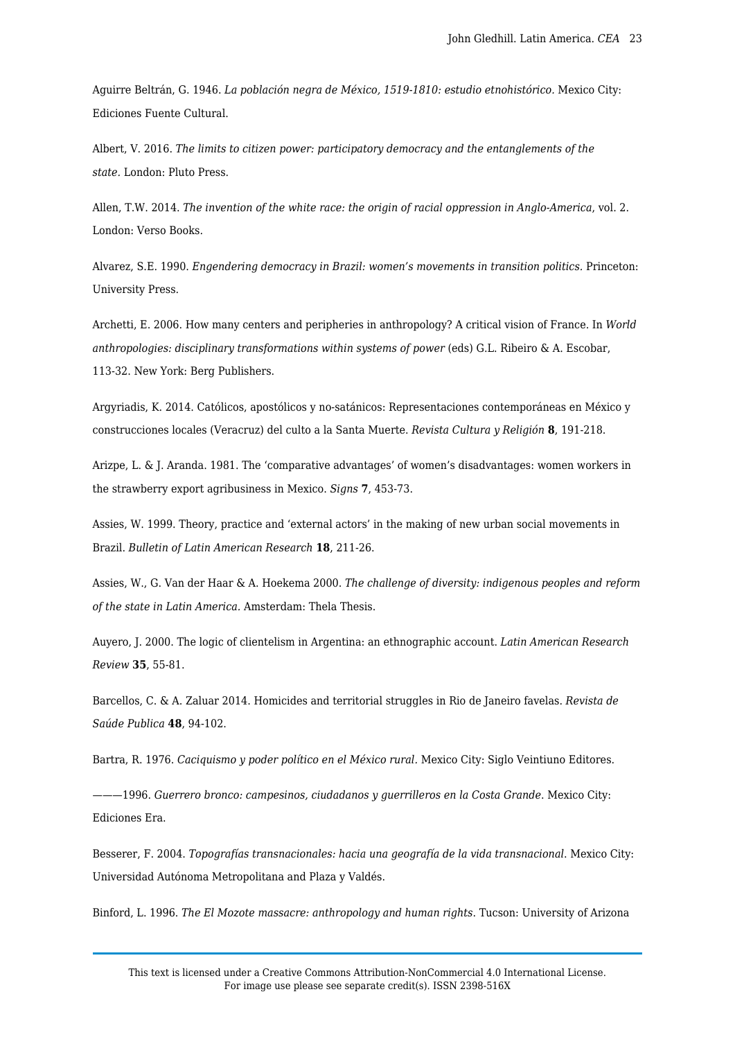Aguirre Beltrán, G. 1946. *La población negra de México, 1519-1810: estudio etnohistórico.* Mexico City: Ediciones Fuente Cultural.

Albert, V. 2016. *The limits to citizen power: participatory democracy and the entanglements of the state.* London: Pluto Press.

Allen, T.W. 2014. *The invention of the white race: the origin of racial oppression in Anglo-America*, vol. 2. London: Verso Books.

Alvarez, S.E. 1990. *Engendering democracy in Brazil: women's movements in transition politics.* Princeton: University Press.

Archetti, E. 2006. How many centers and peripheries in anthropology? A critical vision of France. In *World anthropologies: disciplinary transformations within systems of power* (eds) G.L. Ribeiro & A. Escobar, 113-32. New York: Berg Publishers.

Argyriadis, K. 2014. Católicos, apostólicos y no-satánicos: Representaciones contemporáneas en México y construcciones locales (Veracruz) del culto a la Santa Muerte. *Revista Cultura y Religión* **8**, 191-218.

Arizpe, L. & J. Aranda. 1981. The 'comparative advantages' of women's disadvantages: women workers in the strawberry export agribusiness in Mexico. *Signs* **7**, 453-73.

Assies, W. 1999. Theory, practice and 'external actors' in the making of new urban social movements in Brazil. *Bulletin of Latin American Research* **18**, 211-26.

Assies, W., G. Van der Haar & A. Hoekema 2000. *The challenge of diversity: indigenous peoples and reform of the state in Latin America.* Amsterdam: Thela Thesis.

Auyero, J. 2000. The logic of clientelism in Argentina: an ethnographic account. *Latin American Research Review* **35**, 55-81.

Barcellos, C. & A. Zaluar 2014. Homicides and territorial struggles in Rio de Janeiro favelas. *Revista de Saúde Publica* **48**, 94-102.

Bartra, R. 1976. *Caciquismo y poder político en el México rural.* Mexico City: Siglo Veintiuno Editores.

———1996. *Guerrero bronco: campesinos, ciudadanos y guerrilleros en la Costa Grande*. Mexico City: Ediciones Era.

Besserer, F. 2004. *Topografías transnacionales: hacia una geografía de la vida transnacional*. Mexico City: Universidad Autónoma Metropolitana and Plaza y Valdés.

Binford, L. 1996. *The El Mozote massacre: anthropology and human rights*. Tucson: University of Arizona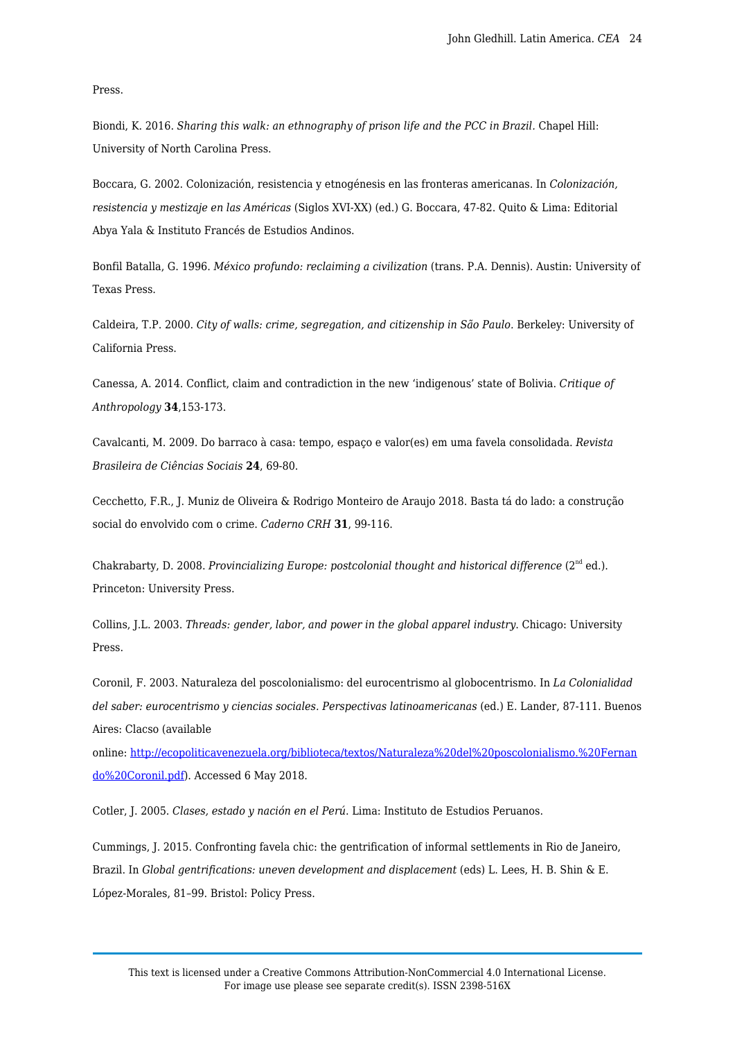Press.

Biondi, K. 2016. *Sharing this walk: an ethnography of prison life and the PCC in Brazil.* Chapel Hill: University of North Carolina Press.

Boccara, G. 2002. Colonización, resistencia y etnogénesis en las fronteras americanas. In *Colonización, resistencia y mestizaje en las Américas* (Siglos XVI-XX) (ed.) G. Boccara, 47-82. Quito & Lima: Editorial Abya Yala & Instituto Francés de Estudios Andinos.

Bonfil Batalla, G. 1996. *México profundo: reclaiming a civilization* (trans. P.A. Dennis). Austin: University of Texas Press.

Caldeira, T.P. 2000. *City of walls: crime, segregation, and citizenship in São Paulo.* Berkeley: University of California Press.

Canessa, A. 2014. Conflict, claim and contradiction in the new 'indigenous' state of Bolivia. *Critique of Anthropology* **34**,153-173.

Cavalcanti, M. 2009. Do barraco à casa: tempo, espaço e valor(es) em uma favela consolidada. *Revista Brasileira de Ciências Sociais* **24**, 69-80.

Cecchetto, F.R., J. Muniz de Oliveira & Rodrigo Monteiro de Araujo 2018. Basta tá do lado: a construção social do envolvido com o crime. *Caderno CRH* **31**, 99-116.

Chakrabarty, D. 2008. Provincializing Europe: postcolonial thought and historical difference (2<sup>nd</sup> ed.). Princeton: University Press.

Collins, J.L. 2003. *Threads: gender, labor, and power in the global apparel industry*. Chicago: University Press.

Coronil, F. 2003. Naturaleza del poscolonialismo: del eurocentrismo al globocentrismo. In *La Colonialidad del saber: eurocentrismo y ciencias sociales. Perspectivas latinoamericanas* (ed.) E. Lander, 87-111. Buenos Aires: Clacso (available

online: [http://ecopoliticavenezuela.org/biblioteca/textos/Naturaleza%20del%20poscolonialismo.%20Fernan](http://ecopoliticavenezuela.org/biblioteca/textos/Naturaleza%20del%20poscolonialismo.%20Fernando%20Coronil.pdf) [do%20Coronil.pdf](http://ecopoliticavenezuela.org/biblioteca/textos/Naturaleza%20del%20poscolonialismo.%20Fernando%20Coronil.pdf)). Accessed 6 May 2018.

Cotler, J. 2005. *Clases, estado y nación en el Perú*. Lima: Instituto de Estudios Peruanos.

Cummings, J. 2015. Confronting favela chic: the gentrification of informal settlements in Rio de Janeiro, Brazil. In *Global gentrifications: uneven development and displacement* (eds) L. Lees, H. B. Shin & E. López-Morales, 81–99. Bristol: Policy Press.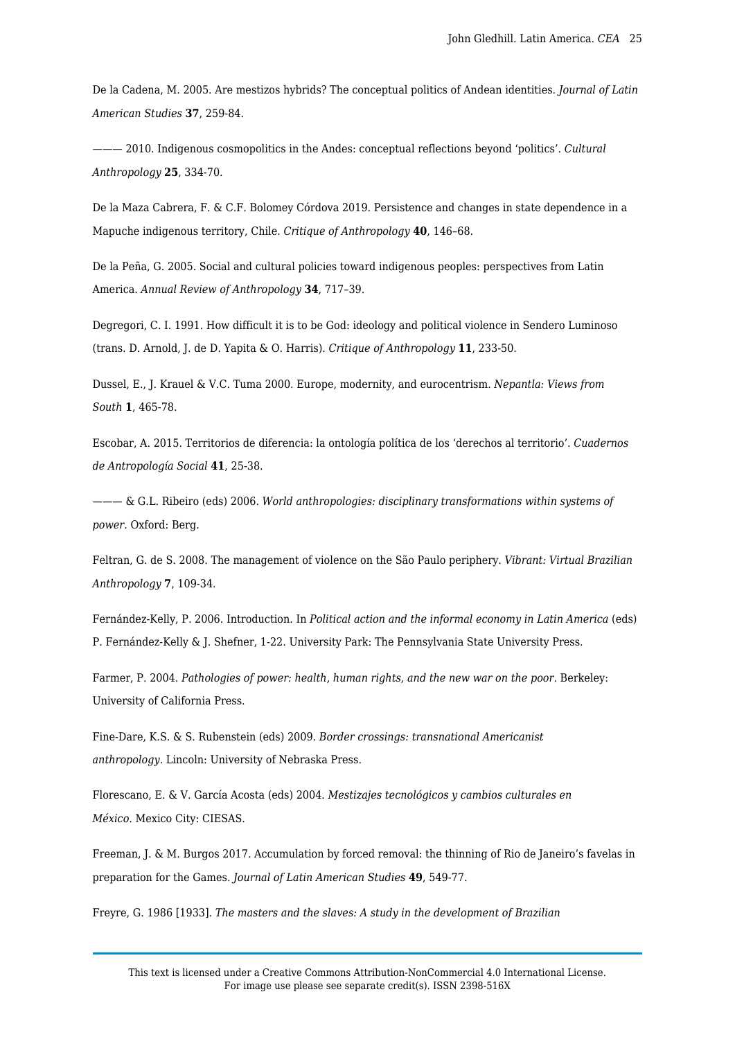De la Cadena, M. 2005. Are mestizos hybrids? The conceptual politics of Andean identities. *Journal of Latin American Studies* **37**, 259-84.

——— 2010. Indigenous cosmopolitics in the Andes: conceptual reflections beyond 'politics'. *Cultural Anthropology* **25**, 334-70.

De la Maza Cabrera, F. & C.F. Bolomey Córdova 2019. Persistence and changes in state dependence in a Mapuche indigenous territory, Chile. *Critique of Anthropology* **40**, 146–68.

De la Peña, G. 2005. Social and cultural policies toward indigenous peoples: perspectives from Latin America. *Annual Review of Anthropology* **34**, 717–39.

Degregori, C. I. 1991. How difficult it is to be God: ideology and political violence in Sendero Luminoso (trans. D. Arnold, J. de D. Yapita & O. Harris). *Critique of Anthropology* **11**, 233-50.

Dussel, E., J. Krauel & V.C. Tuma 2000. Europe, modernity, and eurocentrism. *Nepantla: Views from South* **1**, 465-78.

Escobar, A. 2015. Territorios de diferencia: la ontología política de los 'derechos al territorio'. *Cuadernos de Antropología Social* **41**, 25-38.

——— & G.L. Ribeiro (eds) 2006. *World anthropologies: disciplinary transformations within systems of power.* Oxford: Berg.

Feltran, G. de S. 2008. The management of violence on the São Paulo periphery. *Vibrant: Virtual Brazilian Anthropology* **7**, 109-34.

Fernández-Kelly, P. 2006. Introduction. In *Political action and the informal economy in Latin America* (eds) P. Fernández-Kelly & J. Shefner, 1-22. University Park: The Pennsylvania State University Press.

Farmer, P. 2004. *Pathologies of power: health, human rights, and the new war on the poor*. Berkeley: University of California Press.

Fine-Dare, K.S. & S. Rubenstein (eds) 2009. *Border crossings: transnational Americanist anthropology.* Lincoln: University of Nebraska Press.

Florescano, E. & V. García Acosta (eds) 2004. *Mestizajes tecnológicos y cambios culturales en México*. Mexico City: CIESAS.

Freeman, J. & M. Burgos 2017. Accumulation by forced removal: the thinning of Rio de Janeiro's favelas in preparation for the Games. *Journal of Latin American Studies* **49**, 549-77.

Freyre, G. 1986 [1933]. *The masters and the slaves: A study in the development of Brazilian*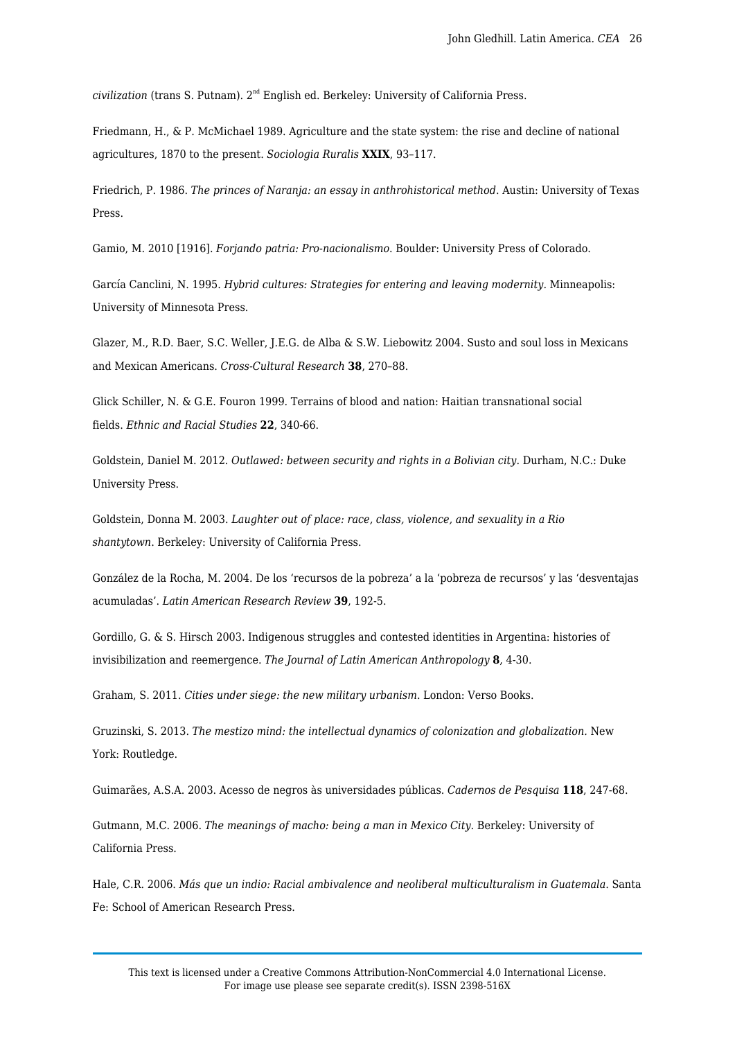*civilization* (trans S. Putnam). 2nd English ed. Berkeley: University of California Press.

Friedmann, H., & P. McMichael 1989. Agriculture and the state system: the rise and decline of national agricultures, 1870 to the present. *Sociologia Ruralis* **XXIX**, 93–117.

Friedrich, P. 1986. *The princes of Naranja: an essay in anthrohistorical method*. Austin: University of Texas Press.

Gamio, M. 2010 [1916]. *Forjando patria: Pro-nacionalismo*. Boulder: University Press of Colorado.

García Canclini, N. 1995. *Hybrid cultures: Strategies for entering and leaving modernity*. Minneapolis: University of Minnesota Press.

Glazer, M., R.D. Baer, S.C. Weller, J.E.G. de Alba & S.W. Liebowitz 2004. Susto and soul loss in Mexicans and Mexican Americans. *Cross-Cultural Research* **38**, 270–88.

Glick Schiller, N. & G.E. Fouron 1999. Terrains of blood and nation: Haitian transnational social fields. *Ethnic and Racial Studies* **22**, 340-66.

Goldstein, Daniel M. 2012. *Outlawed: between security and rights in a Bolivian city*. Durham, N.C.: Duke University Press.

Goldstein, Donna M. 2003. *Laughter out of place: race, class, violence, and sexuality in a Rio shantytown*. Berkeley: University of California Press.

González de la Rocha, M. 2004. De los 'recursos de la pobreza' a la 'pobreza de recursos' y las 'desventajas acumuladas'. *Latin American Research Review* **39**, 192-5.

Gordillo, G. & S. Hirsch 2003. Indigenous struggles and contested identities in Argentina: histories of invisibilization and reemergence. *The Journal of Latin American Anthropology* **8**, 4-30.

Graham, S. 2011. *Cities under siege: the new military urbanism*. London: Verso Books.

Gruzinski, S. 2013. *The mestizo mind: the intellectual dynamics of colonization and globalization.* New York: Routledge.

Guimarães, A.S.A. 2003. Acesso de negros às universidades públicas. *Cadernos de Pesquisa* **118**, 247-68.

Gutmann, M.C. 2006. *The meanings of macho: being a man in Mexico City*. Berkeley: University of California Press.

Hale, C.R. 2006. *Más que un indio: Racial ambivalence and neoliberal multiculturalism in Guatemala*. Santa Fe: School of American Research Press.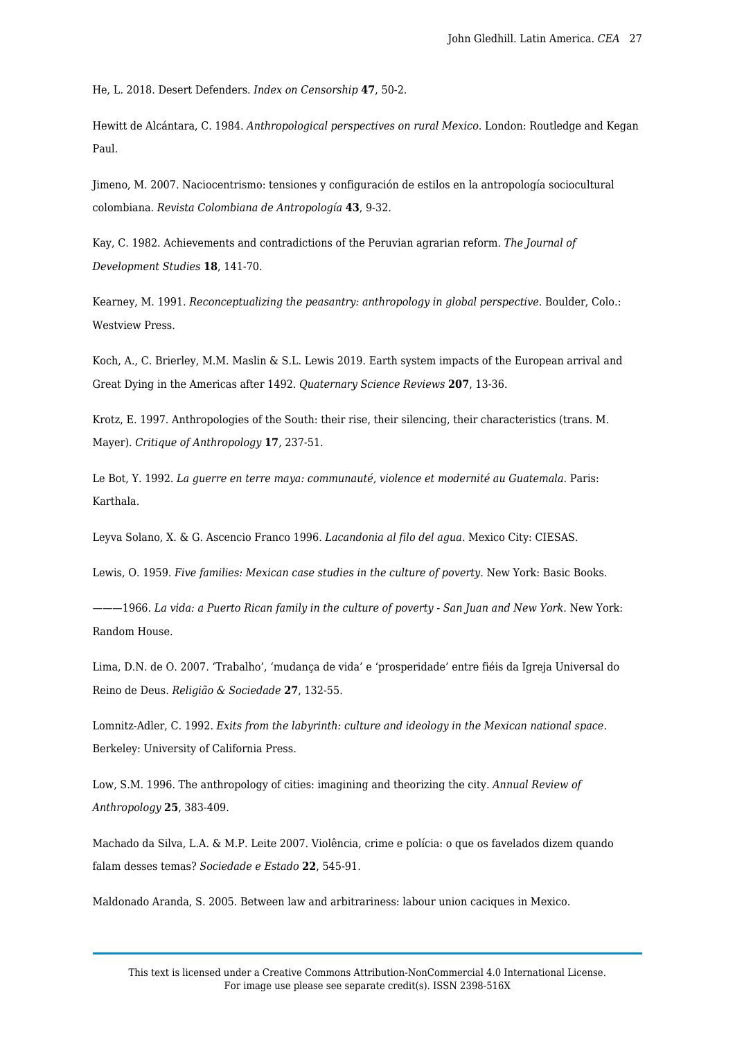He, L. 2018. Desert Defenders. *Index on Censorship* **47**, 50-2.

Hewitt de Alcántara, C. 1984. *Anthropological perspectives on rural Mexico*. London: Routledge and Kegan Paul.

Jimeno, M. 2007. Naciocentrismo: tensiones y configuración de estilos en la antropología sociocultural colombiana. *Revista Colombiana de Antropología* **43**, 9-32.

Kay, C. 1982. Achievements and contradictions of the Peruvian agrarian reform. *The Journal of Development Studies* **18**, 141-70.

Kearney, M. 1991. *Reconceptualizing the peasantry: anthropology in global perspective*. Boulder, Colo.: Westview Press.

Koch, A., C. Brierley, M.M. Maslin & S.L. Lewis 2019. Earth system impacts of the European arrival and Great Dying in the Americas after 1492. *Quaternary Science Reviews* **207**, 13-36.

Krotz, E. 1997. Anthropologies of the South: their rise, their silencing, their characteristics (trans. M. Mayer). *Critique of Anthropology* **17**, 237-51.

Le Bot, Y. 1992. *La guerre en terre maya: communauté, violence et modernité au Guatemala*. Paris: Karthala.

Leyva Solano, X. & G. Ascencio Franco 1996. *Lacandonia al filo del agua*. Mexico City: CIESAS.

Lewis, O. 1959. *Five families: Mexican case studies in the culture of poverty*. New York: Basic Books.

———1966. *La vida: a Puerto Rican family in the culture of poverty - San Juan and New York*. New York: Random House.

Lima, D.N. de O. 2007. 'Trabalho', 'mudança de vida' e 'prosperidade' entre fiéis da Igreja Universal do Reino de Deus. *Religião & Sociedade* **27**, 132-55.

Lomnitz-Adler, C. 1992. *Exits from the labyrinth: culture and ideology in the Mexican national space*. Berkeley: University of California Press.

Low, S.M. 1996. The anthropology of cities: imagining and theorizing the city. *Annual Review of Anthropology* **25**, 383-409.

Machado da Silva, L.A. & M.P. Leite 2007. Violência, crime e polícia: o que os favelados dizem quando falam desses temas? *Sociedade e Estado* **22**, 545-91.

Maldonado Aranda, S. 2005. Between law and arbitrariness: labour union caciques in Mexico.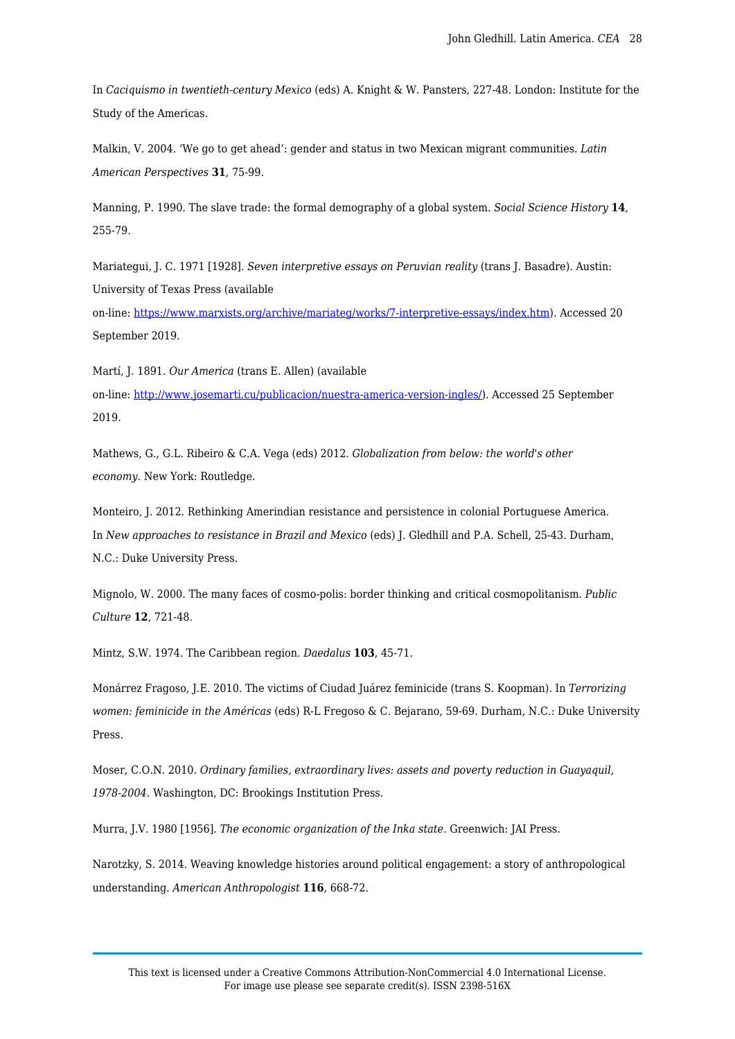In *Caciquismo in twentieth-century Mexico* (eds) A. Knight & W. Pansters, 227-48. London: Institute for the Study of the Americas.

Malkin, V. 2004. 'We go to get ahead': gender and status in two Mexican migrant communities. *Latin American Perspectives* **31**, 75-99.

Manning, P. 1990. The slave trade: the formal demography of a global system. *Social Science History* **14**, 255-79.

Mariategui, J. C. 1971 [1928]. *Seven interpretive essays on Peruvian reality* (trans J. Basadre). Austin: University of Texas Press (available

on-line:<https://www.marxists.org/archive/mariateg/works/7-interpretive-essays/index.htm>). Accessed 20 September 2019.

Martí, J. 1891. *Our America* (trans E. Allen) (available on-line:<http://www.josemarti.cu/publicacion/nuestra-america-version-ingles/>). Accessed 25 September 2019.

Mathews, G., G.L. Ribeiro & C.A. Vega (eds) 2012. *Globalization from below: the world's other economy.* New York: Routledge.

Monteiro, J. 2012. Rethinking Amerindian resistance and persistence in colonial Portuguese America. In *New approaches to resistance in Brazil and Mexico* (eds) J. Gledhill and P.A. Schell, 25-43. Durham, N.C.: Duke University Press.

Mignolo, W. 2000. The many faces of cosmo-polis: border thinking and critical cosmopolitanism. *Public Culture* **12**, 721-48.

Mintz, S.W. 1974. The Caribbean region. *Daedalus* **103**, 45-71.

Monárrez Fragoso, J.E. 2010. The victims of Ciudad Juárez feminicide (trans S. Koopman). In *Terrorizing women: feminicide in the Américas* (eds) R-L Fregoso & C. Bejarano, 59-69. Durham, N.C.: Duke University Press.

Moser, C.O.N. 2010. *Ordinary families, extraordinary lives: assets and poverty reduction in Guayaquil, 1978-2004*. Washington, DC: Brookings Institution Press.

Murra, J.V. 1980 [1956]. *The economic organization of the Inka state*. Greenwich: JAI Press.

Narotzky, S. 2014. Weaving knowledge histories around political engagement: a story of anthropological understanding. *American Anthropologist* **116**, 668-72.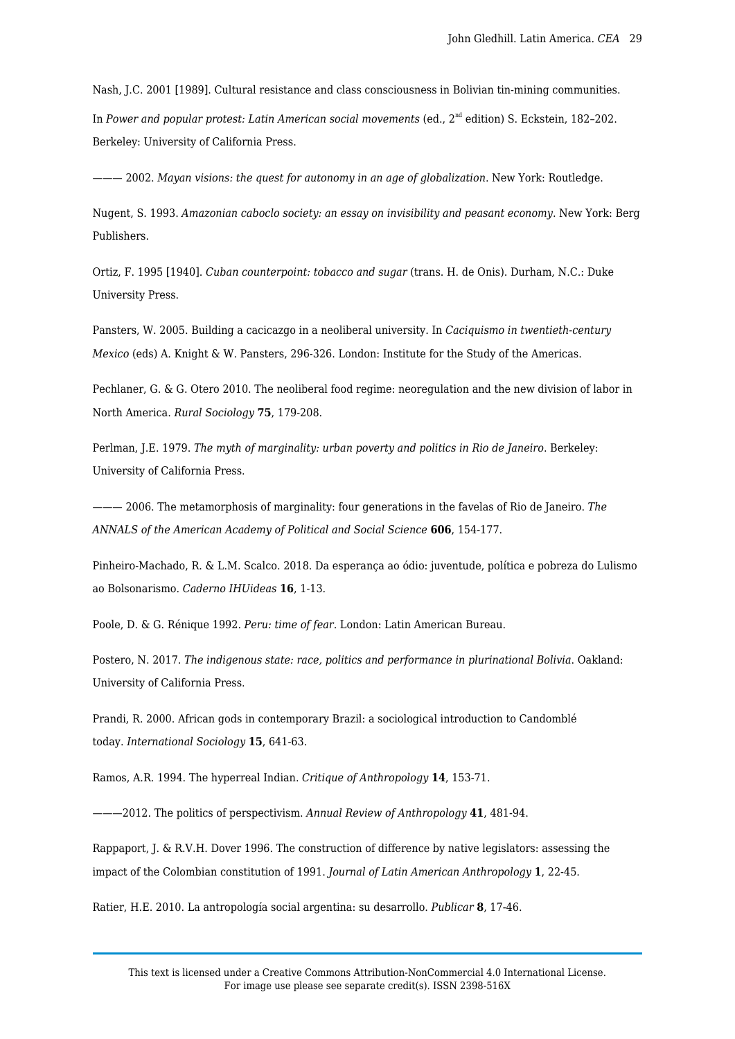Nash, J.C. 2001 [1989]. Cultural resistance and class consciousness in Bolivian tin-mining communities. In *Power and popular protest: Latin American social movements* (ed.,  $2<sup>nd</sup>$  edition) S. Eckstein, 182-202. Berkeley: University of California Press.

——— 2002. *Mayan visions: the quest for autonomy in an age of globalization*. New York: Routledge.

Nugent, S. 1993. *Amazonian caboclo society: an essay on invisibility and peasant economy*. New York: Berg Publishers.

Ortiz, F. 1995 [1940]. *Cuban counterpoint: tobacco and sugar* (trans. H. de Onis). Durham, N.C.: Duke University Press.

Pansters, W. 2005. Building a cacicazgo in a neoliberal university. In *Caciquismo in twentieth-century Mexico* (eds) A. Knight & W. Pansters, 296-326. London: Institute for the Study of the Americas.

Pechlaner, G. & G. Otero 2010. The neoliberal food regime: neoregulation and the new division of labor in North America. *Rural Sociology* **75**, 179-208.

Perlman, J.E. 1979. *The myth of marginality: urban poverty and politics in Rio de Janeiro*. Berkeley: University of California Press.

——— 2006. The metamorphosis of marginality: four generations in the favelas of Rio de Janeiro. *The ANNALS of the American Academy of Political and Social Science* **606**, 154-177.

Pinheiro-Machado, R. & L.M. Scalco. 2018. Da esperança ao ódio: juventude, política e pobreza do Lulismo ao Bolsonarismo. *Caderno IHUideas* **16**, 1-13.

Poole, D. & G. Rénique 1992. *Peru: time of fear*. London: Latin American Bureau.

Postero, N. 2017. *The indigenous state: race, politics and performance in plurinational Bolivia*. Oakland: University of California Press.

Prandi, R. 2000. African gods in contemporary Brazil: a sociological introduction to Candomblé today. *International Sociology* **15**, 641-63.

Ramos, A.R. 1994. The hyperreal Indian. *Critique of Anthropology* **14**, 153-71.

———2012. The politics of perspectivism. *Annual Review of Anthropology* **41**, 481-94.

Rappaport, J. & R.V.H. Dover 1996. The construction of difference by native legislators: assessing the impact of the Colombian constitution of 1991. *Journal of Latin American Anthropology* **1**, 22-45.

Ratier, H.E. 2010. La antropología social argentina: su desarrollo. *Publicar* **8**, 17-46.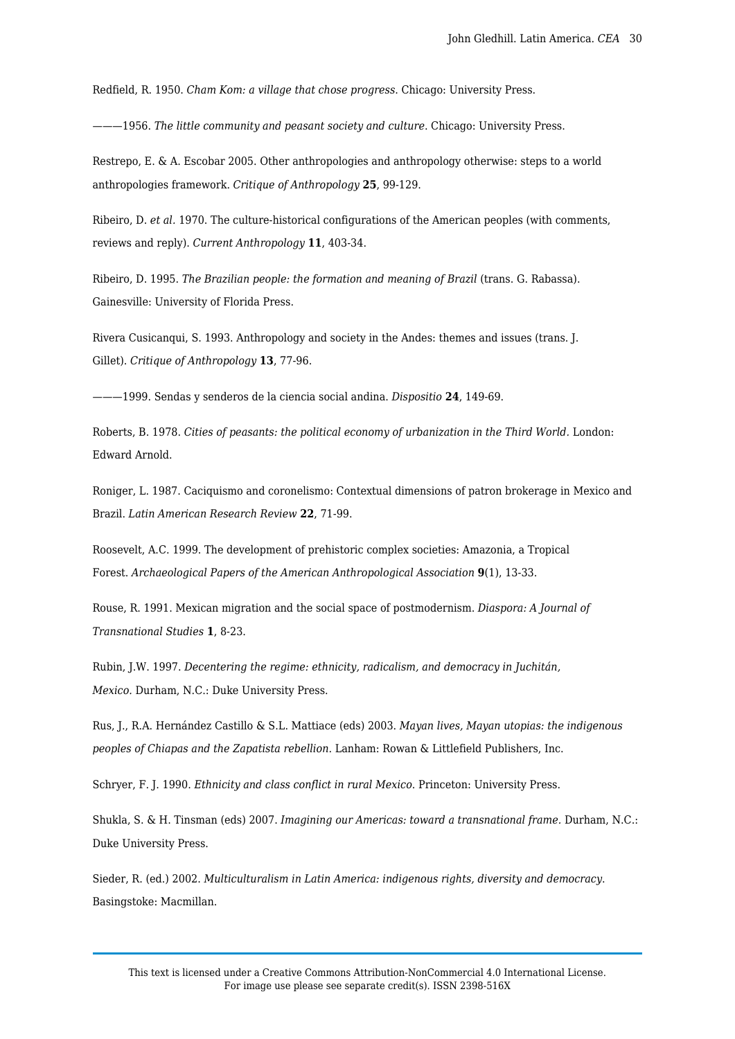Redfield, R. 1950. *Cham Kom: a village that chose progress*. Chicago: University Press.

———1956. *The little community and peasant society and culture*. Chicago: University Press.

Restrepo, E. & A. Escobar 2005. Other anthropologies and anthropology otherwise: steps to a world anthropologies framework. *Critique of Anthropology* **25**, 99-129.

Ribeiro, D. *et al.* 1970. The culture-historical configurations of the American peoples (with comments, reviews and reply). *Current Anthropology* **11**, 403-34.

Ribeiro, D. 1995. *The Brazilian people: the formation and meaning of Brazil* (trans. G. Rabassa). Gainesville: University of Florida Press.

Rivera Cusicanqui, S. 1993. Anthropology and society in the Andes: themes and issues (trans. J. Gillet). *Critique of Anthropology* **13**, 77-96.

———1999. Sendas y senderos de la ciencia social andina. *Dispositio* **24**, 149-69.

Roberts, B. 1978. *Cities of peasants: the political economy of urbanization in the Third World.* London: Edward Arnold.

Roniger, L. 1987. Caciquismo and coronelismo: Contextual dimensions of patron brokerage in Mexico and Brazil. *Latin American Research Review* **22**, 71-99.

Roosevelt, A.C. 1999. The development of prehistoric complex societies: Amazonia, a Tropical Forest. *Archaeological Papers of the American Anthropological Association* **9**(1), 13-33.

Rouse, R. 1991. Mexican migration and the social space of postmodernism. *Diaspora: A Journal of Transnational Studies* **1**, 8-23.

Rubin, J.W. 1997. *Decentering the regime: ethnicity, radicalism, and democracy in Juchitán, Mexico.* Durham, N.C.: Duke University Press.

Rus, J., R.A. Hernández Castillo & S.L. Mattiace (eds) 2003. *Mayan lives, Mayan utopias: the indigenous peoples of Chiapas and the Zapatista rebellion*. Lanham: Rowan & Littlefield Publishers, Inc.

Schryer, F. J. 1990. *Ethnicity and class conflict in rural Mexico*. Princeton: University Press.

Shukla, S. & H. Tinsman (eds) 2007. *Imagining our Americas: toward a transnational frame.* Durham, N.C.: Duke University Press.

Sieder, R. (ed.) 2002. *Multiculturalism in Latin America: indigenous rights, diversity and democracy*. Basingstoke: Macmillan.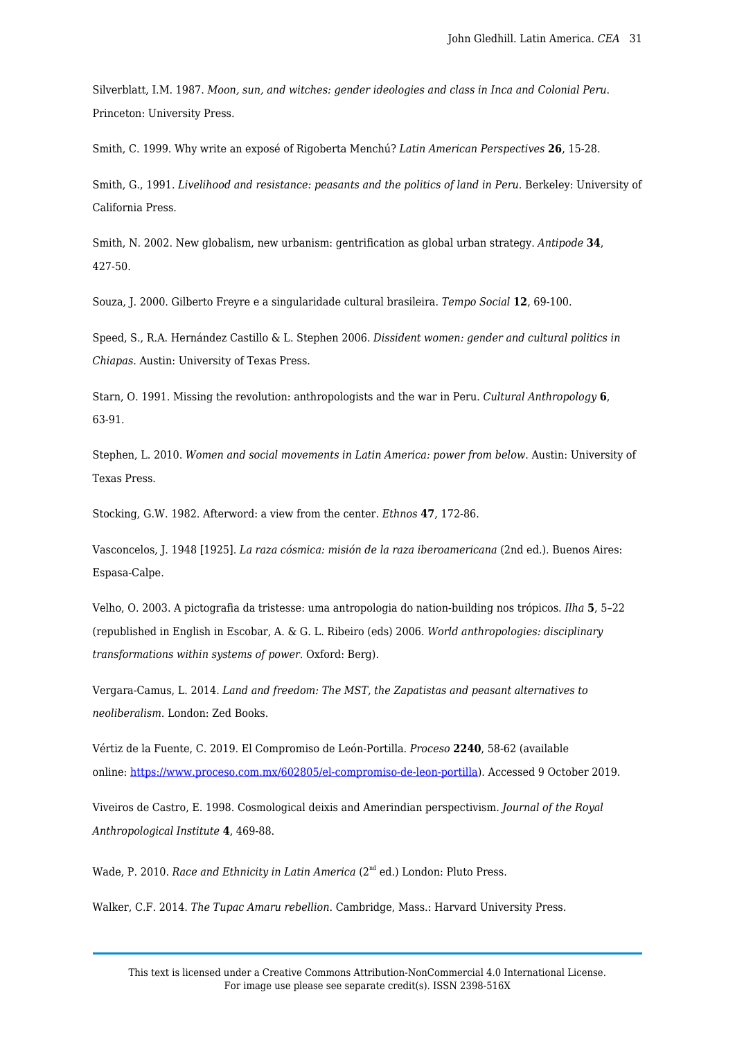Silverblatt, I.M. 1987. *Moon, sun, and witches: gender ideologies and class in Inca and Colonial Peru*. Princeton: University Press.

Smith, C. 1999. Why write an exposé of Rigoberta Menchú? *Latin American Perspectives* **26**, 15-28.

Smith, G., 1991. *Livelihood and resistance: peasants and the politics of land in Peru.* Berkeley: University of California Press.

Smith, N. 2002. New globalism, new urbanism: gentrification as global urban strategy. *Antipode* **34**, 427-50.

Souza, J. 2000. Gilberto Freyre e a singularidade cultural brasileira. *Tempo Social* **12**, 69-100.

Speed, S., R.A. Hernández Castillo & L. Stephen 2006. *Dissident women: gender and cultural politics in Chiapas*. Austin: University of Texas Press.

Starn, O. 1991. Missing the revolution: anthropologists and the war in Peru. *Cultural Anthropology* **6**, 63-91.

Stephen, L. 2010. *Women and social movements in Latin America: power from below*. Austin: University of Texas Press.

Stocking, G.W. 1982. Afterword: a view from the center. *Ethnos* **47**, 172-86.

Vasconcelos, J. 1948 [1925]. *La raza cósmica: misión de la raza iberoamericana* (2nd ed.). Buenos Aires: Espasa-Calpe.

Velho, O. 2003. A pictografia da tristesse: uma antropologia do nation-building nos trópicos. *Ilha* **5**, 5–22 (republished in English in Escobar, A. & G. L. Ribeiro (eds) 2006. *World anthropologies: disciplinary transformations within systems of power.* Oxford: Berg).

Vergara-Camus, L. 2014. *Land and freedom: The MST, the Zapatistas and peasant alternatives to neoliberalism*. London: Zed Books.

Vértiz de la Fuente, C. 2019. El Compromiso de León-Portilla. *Proceso* **2240**, 58-62 (available online: <https://www.proceso.com.mx/602805/el-compromiso-de-leon-portilla>). Accessed 9 October 2019.

Viveiros de Castro, E. 1998. Cosmological deixis and Amerindian perspectivism. *Journal of the Royal Anthropological Institute* **4**, 469-88.

Wade, P. 2010. *Race and Ethnicity in Latin America* (2<sup>nd</sup> ed.) London: Pluto Press.

Walker, C.F. 2014. *The Tupac Amaru rebellion*. Cambridge, Mass.: Harvard University Press.